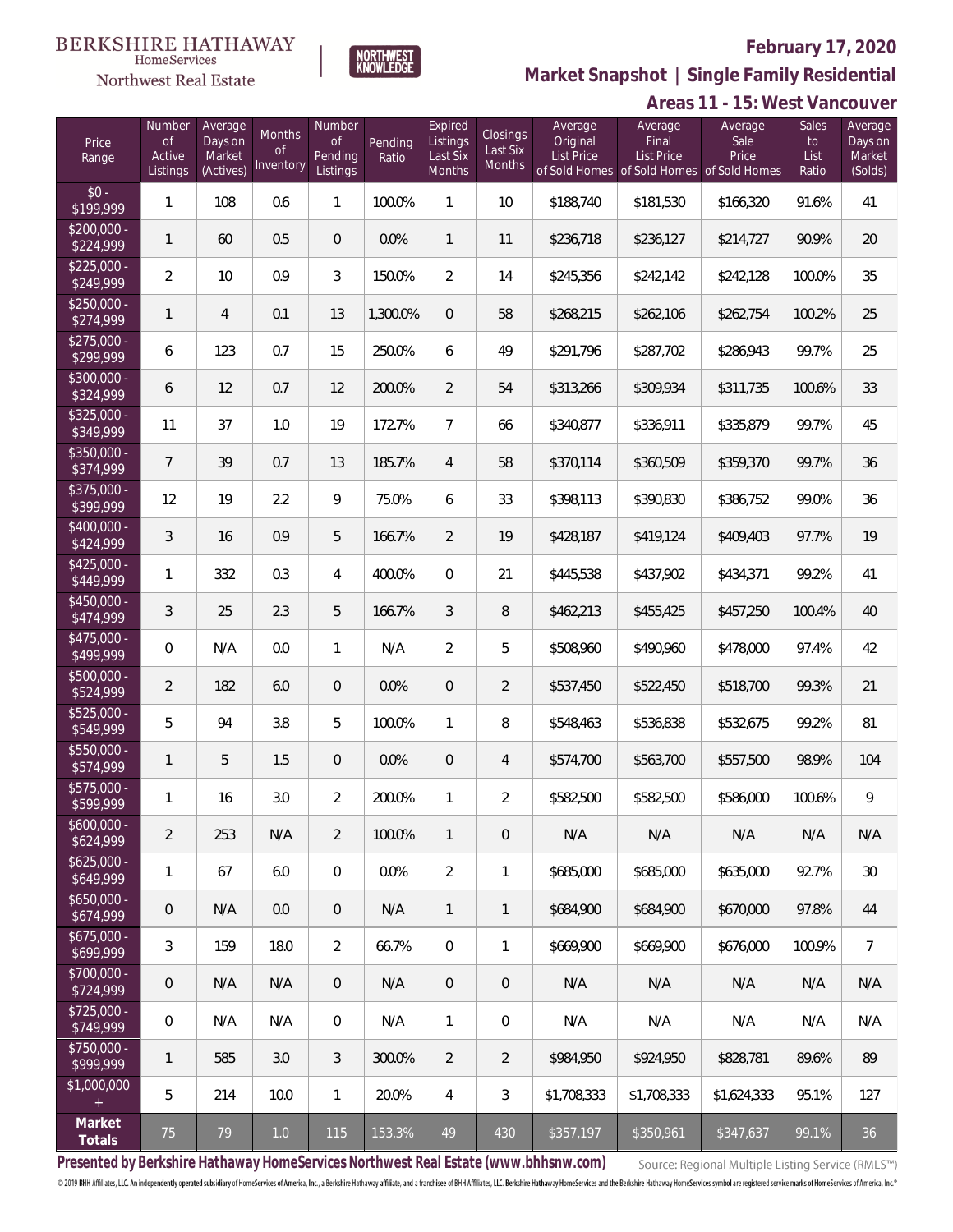**Areas 11 - 15: West Vancouver**



**Market Snapshot | Single Family Residential**

# NORTHWEST<br>KNOWLEDGE  $\label{lem:sevices} \textsc{Home} \textsc{Service} \textsc{s}$ Northwest Real Estate

| Price<br>Range            | Number<br><b>of</b><br>Active<br>Listings | Average<br>Days on<br>Market<br>(Actives) | <b>Months</b><br>0f<br>Inventory | Number<br><b>of</b><br>Pending<br>Listings | Pending<br>Ratio | Expired<br>Listings<br>Last Six<br>Months | Closings<br>Last Six<br>Months | Average<br>Original<br><b>List Price</b> | Average<br>Final<br><b>List Price</b><br>of Sold Homes of Sold Homes | Average<br>Sale<br>Price<br>of Sold Homes | Sales<br>to<br>List<br>Ratio | Average<br>Days on<br>Market<br>(Solds) |
|---------------------------|-------------------------------------------|-------------------------------------------|----------------------------------|--------------------------------------------|------------------|-------------------------------------------|--------------------------------|------------------------------------------|----------------------------------------------------------------------|-------------------------------------------|------------------------------|-----------------------------------------|
| $$0 -$<br>\$199,999       | 1                                         | 108                                       | 0.6                              | 1                                          | 100.0%           | 1                                         | 10                             | \$188,740                                | \$181,530                                                            | \$166,320                                 | 91.6%                        | 41                                      |
| $$200,000 -$<br>\$224,999 | $\mathbf{1}$                              | 60                                        | 0.5                              | $\overline{0}$                             | 0.0%             | $\mathbf{1}$                              | 11                             | \$236,718                                | \$236,127                                                            | \$214,727                                 | 90.9%                        | 20                                      |
| $$225,000 -$<br>\$249,999 | $\overline{2}$                            | 10                                        | 0.9                              | 3                                          | 150.0%           | $\overline{2}$                            | 14                             | \$245,356                                | \$242,142                                                            | \$242,128                                 | 100.0%                       | 35                                      |
| $$250,000 -$<br>\$274,999 | $\mathbf{1}$                              | $\overline{4}$                            | 0.1                              | 13                                         | 1,300.0%         | $\overline{0}$                            | 58                             | \$268,215                                | \$262,106                                                            | \$262,754                                 | 100.2%                       | 25                                      |
| $$275,000 -$<br>\$299,999 | 6                                         | 123                                       | 0.7                              | 15                                         | 250.0%           | 6                                         | 49                             | \$291,796                                | \$287,702                                                            | \$286,943                                 | 99.7%                        | 25                                      |
| \$300,000 -<br>\$324,999  | 6                                         | 12                                        | 0.7                              | 12                                         | 200.0%           | $\overline{2}$                            | 54                             | \$313,266                                | \$309,934                                                            | \$311,735                                 | 100.6%                       | 33                                      |
| $$325,000 -$<br>\$349,999 | 11                                        | 37                                        | 1.0                              | 19                                         | 172.7%           | $\overline{7}$                            | 66                             | \$340,877                                | \$336,911                                                            | \$335,879                                 | 99.7%                        | 45                                      |
| \$350,000 -<br>\$374,999  | $\overline{7}$                            | 39                                        | 0.7                              | 13                                         | 185.7%           | $\overline{4}$                            | 58                             | \$370,114                                | \$360,509                                                            | \$359,370                                 | 99.7%                        | 36                                      |
| \$375,000 -<br>\$399,999  | 12                                        | 19                                        | 2.2                              | 9                                          | 75.0%            | 6                                         | 33                             | \$398,113                                | \$390,830                                                            | \$386,752                                 | 99.0%                        | 36                                      |
| \$400,000 -<br>\$424,999  | 3                                         | 16                                        | 0.9                              | 5                                          | 166.7%           | $\overline{2}$                            | 19                             | \$428,187                                | \$419,124                                                            | \$409,403                                 | 97.7%                        | 19                                      |
| $$425,000 -$<br>\$449,999 | $\mathbf{1}$                              | 332                                       | 0.3                              | 4                                          | 400.0%           | $\Omega$                                  | 21                             | \$445,538                                | \$437,902                                                            | \$434,371                                 | 99.2%                        | 41                                      |
| \$450,000 -<br>\$474,999  | 3                                         | 25                                        | 2.3                              | 5                                          | 166.7%           | 3                                         | 8                              | \$462,213                                | \$455,425                                                            | \$457,250                                 | 100.4%                       | 40                                      |
| \$475,000 -<br>\$499,999  | 0                                         | N/A                                       | 0.0                              | $\mathbf{1}$                               | N/A              | $\overline{2}$                            | 5                              | \$508,960                                | \$490,960                                                            | \$478,000                                 | 97.4%                        | 42                                      |
| \$500,000 -<br>\$524,999  | $\overline{2}$                            | 182                                       | 6.0                              | $\overline{0}$                             | 0.0%             | $\overline{0}$                            | $\overline{2}$                 | \$537,450                                | \$522,450                                                            | \$518,700                                 | 99.3%                        | 21                                      |
| \$525,000 -<br>\$549,999  | 5                                         | 94                                        | 3.8                              | 5                                          | 100.0%           | 1                                         | 8                              | \$548,463                                | \$536,838                                                            | \$532,675                                 | 99.2%                        | 81                                      |
| \$550,000 -<br>\$574,999  | $\mathbf{1}$                              | 5                                         | 1.5                              | $\overline{0}$                             | 0.0%             | $\overline{0}$                            | 4                              | \$574,700                                | \$563,700                                                            | \$557,500                                 | 98.9%                        | 104                                     |
| \$575,000 -<br>\$599,999  | 1                                         | 16                                        | 3.0                              | $\overline{2}$                             | 200.0%           | 1                                         | 2                              | \$582,500                                | \$582,500                                                            | \$586,000                                 | 100.6%                       | 9                                       |
| $$600,000 -$<br>\$624,999 | $\overline{2}$                            | 253                                       | N/A                              | $\overline{2}$                             | 100.0%           | $\mathbf{1}$                              | $\overline{0}$                 | N/A                                      | N/A                                                                  | N/A                                       | N/A                          | N/A                                     |
| $$625,000 -$<br>\$649,999 | 1                                         | 67                                        | 6.0                              | $\mathbf 0$                                | 0.0%             | $\overline{2}$                            | 1                              | \$685,000                                | \$685,000                                                            | \$635,000                                 | 92.7%                        | 30                                      |
| $$650,000 -$<br>\$674,999 | $\mathbf 0$                               | N/A                                       | 0.0                              | $\overline{0}$                             | N/A              | $\mathbf{1}$                              | $\mathbf{1}$                   | \$684,900                                | \$684,900                                                            | \$670,000                                 | 97.8%                        | 44                                      |
| $$675,000 -$<br>\$699,999 | 3                                         | 159                                       | 18.0                             | $\overline{2}$                             | 66.7%            | $\overline{0}$                            | 1                              | \$669,900                                | \$669,900                                                            | \$676,000                                 | 100.9%                       | $\overline{7}$                          |
| \$700,000 -<br>\$724,999  | $\mathbf 0$                               | N/A                                       | N/A                              | $\overline{0}$                             | N/A              | $\sqrt{0}$                                | $\overline{0}$                 | N/A                                      | N/A                                                                  | N/A                                       | N/A                          | N/A                                     |
| $$725,000 -$<br>\$749,999 | 0                                         | N/A                                       | N/A                              | $\overline{0}$                             | N/A              | 1                                         | $\overline{0}$                 | N/A                                      | N/A                                                                  | N/A                                       | N/A                          | N/A                                     |
| \$750,000 -<br>\$999,999  | 1                                         | 585                                       | 3.0                              | 3                                          | 300.0%           | $\overline{2}$                            | $\overline{2}$                 | \$984,950                                | \$924,950                                                            | \$828,781                                 | 89.6%                        | 89                                      |
| \$1,000,000<br>$+$        | 5                                         | 214                                       | 10.0                             | $\mathbf{1}$                               | 20.0%            | 4                                         | 3                              | \$1,708,333                              | \$1,708,333                                                          | \$1,624,333                               | 95.1%                        | 127                                     |
| Market<br>Totals          | 75                                        | 79                                        | 1.0                              | 115                                        | 153.3%           | 49                                        | 430                            | \$357,197                                | \$350,961                                                            | \$347,637                                 | 99.1%                        | 36                                      |

**Presented by Berkshire Hathaway HomeServices Northwest Real Estate (www.bhhsnw.com)**

Source: Regional Multiple Listing Service (RMLS™)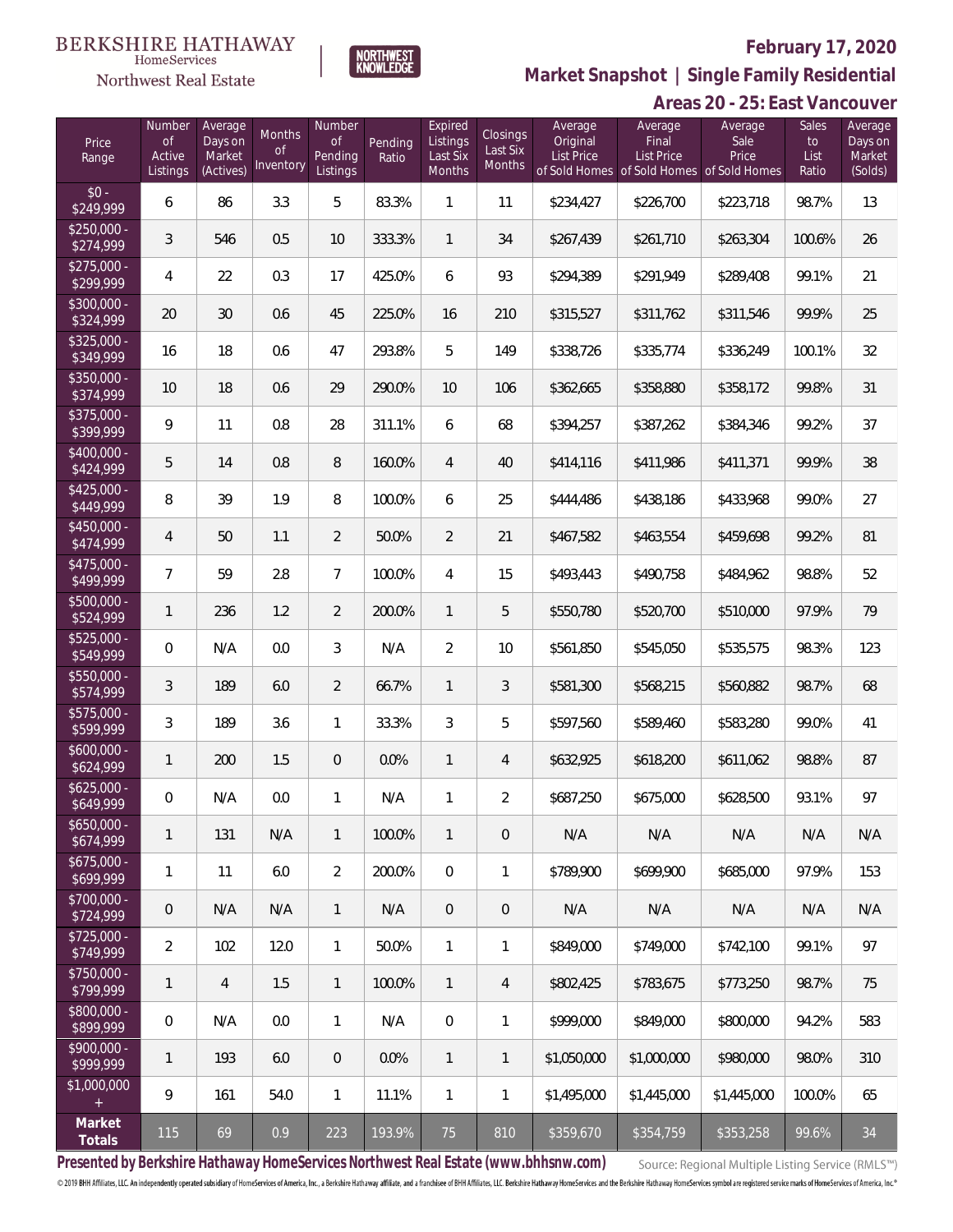#### **BERKSHIRE HATHAWAY** HomeServices

# Northwest Real Estate

### **February 17, 2020**



**Market Snapshot | Single Family Residential**

#### **Areas 20 - 25: East Vancouver**

| Price<br>Range            | Number<br><b>of</b><br>Active<br>Listings | Average<br>Days on<br>Market<br>(Actives) | Months<br>Οf<br>Inventory | Number<br>Οf<br>Pending<br>Listings | Pending<br>Ratio | Expired<br>Listings<br>Last Six<br>Months | <b>Closings</b><br>Last Six<br>Months | Average<br>Original<br><b>List Price</b> | Average<br>Final<br><b>List Price</b><br>of Sold Homes of Sold Homes of Sold Homes | Average<br>Sale<br>Price | Sales<br>to<br>List<br>Ratio | Average<br>Days on<br>Market<br>(Solds) |
|---------------------------|-------------------------------------------|-------------------------------------------|---------------------------|-------------------------------------|------------------|-------------------------------------------|---------------------------------------|------------------------------------------|------------------------------------------------------------------------------------|--------------------------|------------------------------|-----------------------------------------|
| $$0 -$<br>\$249,999       | 6                                         | 86                                        | 3.3                       | 5                                   | 83.3%            | 1                                         | 11                                    | \$234,427                                | \$226,700                                                                          | \$223,718                | 98.7%                        | 13                                      |
| $$250,000 -$<br>\$274,999 | 3                                         | 546                                       | 0.5                       | 10                                  | 333.3%           | $\mathbf{1}$                              | 34                                    | \$267,439                                | \$261,710                                                                          | \$263,304                | 100.6%                       | 26                                      |
| $$275,000 -$<br>\$299,999 | 4                                         | 22                                        | 0.3                       | 17                                  | 425.0%           | 6                                         | 93                                    | \$294,389                                | \$291,949                                                                          | \$289,408                | 99.1%                        | 21                                      |
| $$300,000 -$<br>\$324,999 | 20                                        | 30                                        | 0.6                       | 45                                  | 225.0%           | 16                                        | 210                                   | \$315,527                                | \$311,762                                                                          | \$311,546                | 99.9%                        | 25                                      |
| $$325,000 -$<br>\$349,999 | 16                                        | 18                                        | 0.6                       | 47                                  | 293.8%           | 5                                         | 149                                   | \$338,726                                | \$335,774                                                                          | \$336,249                | 100.1%                       | 32                                      |
| $$350,000 -$<br>\$374,999 | $10$                                      | 18                                        | 0.6                       | 29                                  | 290.0%           | 10                                        | 106                                   | \$362,665                                | \$358,880                                                                          | \$358,172                | 99.8%                        | 31                                      |
| $$375,000 -$<br>\$399,999 | 9                                         | 11                                        | 0.8                       | 28                                  | 311.1%           | 6                                         | 68                                    | \$394,257                                | \$387,262                                                                          | \$384,346                | 99.2%                        | 37                                      |
| $$400.000 -$<br>\$424,999 | 5                                         | 14                                        | 0.8                       | 8                                   | 160.0%           | $\overline{4}$                            | 40                                    | \$414,116                                | \$411,986                                                                          | \$411,371                | 99.9%                        | 38                                      |
| $$425,000 -$<br>\$449,999 | 8                                         | 39                                        | 1.9                       | 8                                   | 100.0%           | 6                                         | 25                                    | \$444,486                                | \$438,186                                                                          | \$433,968                | 99.0%                        | 27                                      |
| $$450.000 -$<br>\$474,999 | 4                                         | 50                                        | 1.1                       | $\overline{2}$                      | 50.0%            | $\overline{2}$                            | 21                                    | \$467,582                                | \$463,554                                                                          | \$459,698                | 99.2%                        | 81                                      |
| $$475,000 -$<br>\$499,999 | $\overline{7}$                            | 59                                        | 2.8                       | $7\overline{ }$                     | 100.0%           | $\overline{4}$                            | 15                                    | \$493,443                                | \$490,758                                                                          | \$484,962                | 98.8%                        | 52                                      |
| $$500,000 -$<br>\$524,999 | 1                                         | 236                                       | 1.2                       | $\overline{2}$                      | 200.0%           | 1                                         | 5                                     | \$550,780                                | \$520,700                                                                          | \$510,000                | 97.9%                        | 79                                      |
| $$525,000 -$<br>\$549,999 | 0                                         | N/A                                       | 0.0                       | 3                                   | N/A              | $\overline{2}$                            | 10                                    | \$561,850                                | \$545,050                                                                          | \$535,575                | 98.3%                        | 123                                     |
| \$550,000 -<br>\$574,999  | 3                                         | 189                                       | 6.0                       | $\overline{2}$                      | 66.7%            | $\mathbf{1}$                              | 3                                     | \$581,300                                | \$568,215                                                                          | \$560,882                | 98.7%                        | 68                                      |
| $$575,000 -$<br>\$599,999 | 3                                         | 189                                       | 3.6                       | $\mathbf{1}$                        | 33.3%            | 3                                         | 5                                     | \$597,560                                | \$589,460                                                                          | \$583,280                | 99.0%                        | 41                                      |
| \$600,000 -<br>\$624,999  | 1                                         | 200                                       | 1.5                       | $\overline{0}$                      | 0.0%             | $\mathbf{1}$                              | $\overline{4}$                        | \$632,925                                | \$618,200                                                                          | \$611,062                | 98.8%                        | 87                                      |
| $$625,000 -$<br>\$649,999 | 0                                         | N/A                                       | $0.0\,$                   | $\mathbf{1}$                        | N/A              | 1                                         | $\overline{2}$                        | \$687,250                                | \$675,000                                                                          | \$628,500                | 93.1%                        | 97                                      |
| $$650,000 -$<br>\$674,999 | 1                                         | 131                                       | N/A                       | $\mathbf{1}$                        | 100.0%           | $\mathbf{1}$                              | $\overline{0}$                        | N/A                                      | N/A                                                                                | N/A                      | N/A                          | N/A                                     |
| $$675,000 -$<br>\$699,999 | 1                                         | 11                                        | 6.0                       | $\overline{2}$                      | 200.0%           | $\overline{0}$                            | 1                                     | \$789.900                                | \$699,900                                                                          | \$685,000                | 97.9%                        | 153                                     |
| \$700,000 -<br>\$724,999  | $\mathbf 0$                               | N/A                                       | N/A                       | $\mathbf{1}$                        | N/A              | $\mathbf 0$                               | $\overline{0}$                        | N/A                                      | N/A                                                                                | N/A                      | N/A                          | N/A                                     |
| $$725,000 -$<br>\$749,999 | $\overline{2}$                            | 102                                       | 12.0                      | $\mathbf{1}$                        | 50.0%            | $\mathbf{1}$                              | $\mathbf{1}$                          | \$849,000                                | \$749,000                                                                          | \$742.100                | 99.1%                        | 97                                      |
| \$750,000 -<br>\$799,999  | 1                                         | $\overline{4}$                            | 1.5                       | $\mathbf{1}$                        | 100.0%           | $\mathbf{1}$                              | $\overline{4}$                        | \$802,425                                | \$783.675                                                                          | \$773,250                | 98.7%                        | 75                                      |
| \$800,000 -<br>\$899,999  | 0                                         | N/A                                       | 0.0                       | $\mathbf{1}$                        | N/A              | $\mathbf 0$                               | 1                                     | \$999,000                                | \$849,000                                                                          | \$800,000                | 94.2%                        | 583                                     |
| \$900,000 -<br>\$999,999  | 1                                         | 193                                       | 6.0                       | $\overline{0}$                      | 0.0%             | $\mathbf{1}$                              | $\mathbf{1}$                          | \$1,050,000                              | \$1,000,000                                                                        | \$980,000                | 98.0%                        | 310                                     |
| \$1,000,000               | 9                                         | 161                                       | 54.0                      | 1                                   | 11.1%            | $\mathbf{1}$                              | 1                                     | \$1,495,000                              | \$1,445,000                                                                        | \$1,445,000              | 100.0%                       | 65                                      |
| Market<br>Totals          | 115                                       | 69                                        | 0.9                       | 223                                 | 193.9%           | 75                                        | 810                                   | \$359,670                                | \$354,759                                                                          | \$353,258                | $99.6\%$                     | 34                                      |

**Presented by Berkshire Hathaway HomeServices Northwest Real Estate (www.bhhsnw.com)**

Source: Regional Multiple Listing Service (RMLS™)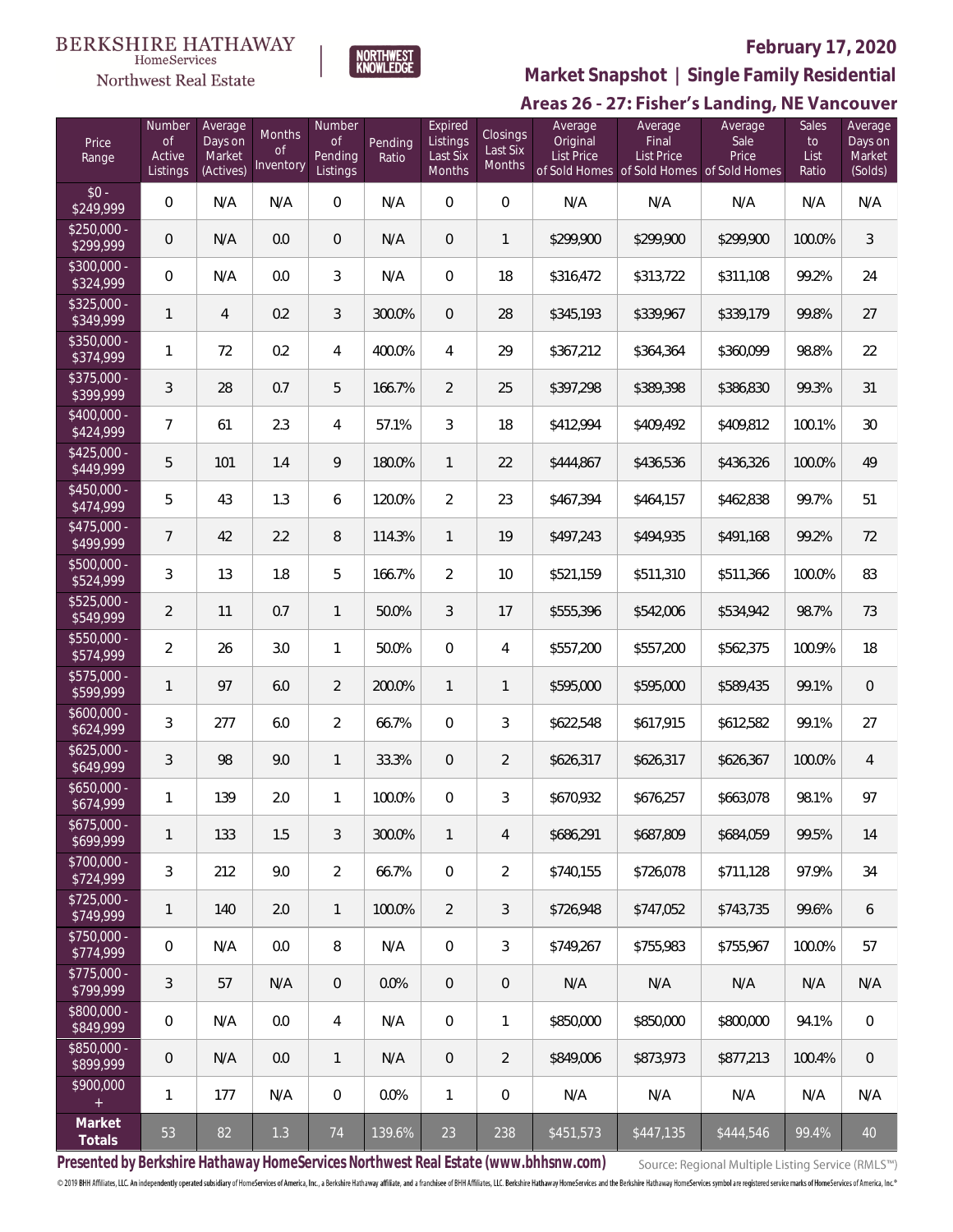#### **BERKSHIRE HATHAWAY**  $\label{lem:sevices} \textsc{Home} \textsc{Service} \textsc{s}$





# **February 17, 2020**

**Market Snapshot | Single Family Residential**

### Areas 26 - 27: Fisher's Landing, NE Vancouver

| Price<br>Range            | Number<br><b>of</b><br>Active<br>Listings | Average<br>Days on<br>Market<br>(Actives) | Months<br>0f<br>Inventory | Number<br><b>of</b><br>Pending<br>Listings | Pending<br>Ratio | Expired<br>Listings<br>Last Six<br><b>Months</b> | Closings<br>Last Six<br>Months | Average<br>Original<br><b>List Price</b> | Average<br>Final<br><b>List Price</b><br>of Sold Homes of Sold Homes of Sold Homes | Average<br>Sale<br>Price | Sales<br>$\mathsf{to}$<br>List<br>Ratio | Average<br>Days on<br>Market<br>(Solds) |
|---------------------------|-------------------------------------------|-------------------------------------------|---------------------------|--------------------------------------------|------------------|--------------------------------------------------|--------------------------------|------------------------------------------|------------------------------------------------------------------------------------|--------------------------|-----------------------------------------|-----------------------------------------|
| $$0 -$<br>\$249,999       | $\overline{0}$                            | N/A                                       | N/A                       | $\overline{0}$                             | N/A              | $\overline{0}$                                   | $\overline{0}$                 | N/A                                      | N/A                                                                                | N/A                      | N/A                                     | N/A                                     |
| $$250,000 -$<br>\$299,999 | $\overline{0}$                            | N/A                                       | 0.0                       | $\overline{0}$                             | N/A              | $\overline{0}$                                   | 1                              | \$299,900                                | \$299,900                                                                          | \$299,900                | 100.0%                                  | $\mathfrak{Z}$                          |
| \$300,000 -<br>\$324,999  | $\overline{0}$                            | N/A                                       | 0.0                       | 3                                          | N/A              | $\overline{0}$                                   | 18                             | \$316,472                                | \$313,722                                                                          | \$311,108                | 99.2%                                   | 24                                      |
| \$325,000 -<br>\$349,999  | 1                                         | $\overline{4}$                            | 0.2                       | 3                                          | 300.0%           | $\overline{0}$                                   | 28                             | \$345,193                                | \$339,967                                                                          | \$339,179                | 99.8%                                   | 27                                      |
| \$350,000 -<br>\$374,999  | 1                                         | 72                                        | 0.2                       | 4                                          | 400.0%           | 4                                                | 29                             | \$367,212                                | \$364,364                                                                          | \$360,099                | 98.8%                                   | 22                                      |
| \$375,000 -<br>\$399,999  | 3                                         | 28                                        | 0.7                       | 5                                          | 166.7%           | $\overline{2}$                                   | 25                             | \$397,298                                | \$389,398                                                                          | \$386,830                | 99.3%                                   | 31                                      |
| \$400,000 -<br>\$424,999  | $\overline{7}$                            | 61                                        | 2.3                       | 4                                          | 57.1%            | 3                                                | 18                             | \$412,994                                | \$409,492                                                                          | \$409,812                | 100.1%                                  | 30                                      |
| $$425,000 -$<br>\$449,999 | 5                                         | 101                                       | 1.4                       | 9                                          | 180.0%           | $\mathbf{1}$                                     | 22                             | \$444,867                                | \$436,536                                                                          | \$436,326                | 100.0%                                  | 49                                      |
| $$450,000 -$<br>\$474,999 | 5                                         | 43                                        | 1.3                       | 6                                          | 120.0%           | $\overline{2}$                                   | 23                             | \$467,394                                | \$464,157                                                                          | \$462,838                | 99.7%                                   | 51                                      |
| $$475,000 -$<br>\$499,999 | $\overline{7}$                            | 42                                        | 2.2                       | 8                                          | 114.3%           | $\mathbf{1}$                                     | 19                             | \$497,243                                | \$494,935                                                                          | \$491,168                | 99.2%                                   | 72                                      |
| \$500,000 -<br>\$524,999  | 3                                         | 13                                        | 1.8                       | 5                                          | 166.7%           | $\overline{2}$                                   | 10                             | \$521,159                                | \$511,310                                                                          | \$511,366                | 100.0%                                  | 83                                      |
| \$525,000 -<br>\$549,999  | $\overline{2}$                            | 11                                        | 0.7                       | $\mathbf{1}$                               | 50.0%            | 3                                                | 17                             | \$555,396                                | \$542,006                                                                          | \$534,942                | 98.7%                                   | 73                                      |
| \$550,000 -<br>\$574,999  | $\overline{2}$                            | 26                                        | 3.0                       | 1                                          | 50.0%            | $\overline{0}$                                   | 4                              | \$557,200                                | \$557,200                                                                          | \$562,375                | 100.9%                                  | 18                                      |
| $$575,000 -$<br>\$599,999 | 1                                         | 97                                        | 6.0                       | $\overline{2}$                             | 200.0%           | $\mathbf{1}$                                     | 1                              | \$595,000                                | \$595,000                                                                          | \$589,435                | 99.1%                                   | $\mathbf 0$                             |
| $$600,000 -$<br>\$624,999 | 3                                         | 277                                       | 6.0                       | $\overline{2}$                             | 66.7%            | $\overline{0}$                                   | 3                              | \$622,548                                | \$617,915                                                                          | \$612,582                | 99.1%                                   | 27                                      |
| $$625,000 -$<br>\$649,999 | 3                                         | 98                                        | 9.0                       | 1                                          | 33.3%            | $\overline{0}$                                   | $\overline{2}$                 | \$626,317                                | \$626,317                                                                          | \$626,367                | 100.0%                                  | $\overline{4}$                          |
| $$650,000 -$<br>\$674,999 | 1                                         | 139                                       | 2.0                       | 1                                          | 100.0%           | 0                                                | 3                              | \$670,932                                | \$676,257                                                                          | \$663,078                | 98.1%                                   | 97                                      |
| $$675,000 -$<br>\$699,999 | 1                                         | 133                                       | 1.5                       | 3                                          | 300.0%           | $\mathbf{1}$                                     | 4                              | \$686.291                                | \$687,809                                                                          | \$684,059                | 99.5%                                   | 14                                      |
| $$700,000 -$<br>\$724,999 | 3                                         | 212                                       | 9.0                       | $\overline{2}$                             | 66.7%            | 0                                                | $\overline{2}$                 | \$740,155                                | \$726,078                                                                          | \$711,128                | 97.9%                                   | 34                                      |
| $$725,000 -$<br>\$749,999 | 1                                         | 140                                       | 2.0                       | $\mathbf{1}$                               | 100.0%           | $\overline{2}$                                   | 3                              | \$726.948                                | \$747,052                                                                          | \$743.735                | 99.6%                                   | 6                                       |
| $$750,000 -$<br>\$774,999 | $\mathbf 0$                               | N/A                                       | 0.0                       | 8                                          | N/A              | 0                                                | 3                              | \$749,267                                | \$755,983                                                                          | \$755,967                | 100.0%                                  | 57                                      |
| $$775,000 -$<br>\$799,999 | $\mathfrak{Z}$                            | 57                                        | N/A                       | $\theta$                                   | 0.0%             | 0                                                | $\mathbf 0$                    | N/A                                      | N/A                                                                                | N/A                      | N/A                                     | N/A                                     |
| \$800,000 -<br>\$849,999  | $\overline{0}$                            | N/A                                       | 0.0                       | 4                                          | N/A              | 0                                                | 1                              | \$850,000                                | \$850,000                                                                          | \$800,000                | 94.1%                                   | $\,0\,$                                 |
| \$850,000 -<br>\$899,999  | $\theta$                                  | N/A                                       | 0.0                       | $\mathbf{1}$                               | N/A              | 0                                                | $\overline{2}$                 | \$849,006                                | \$873,973                                                                          | \$877,213                | 100.4%                                  | $\,0\,$                                 |
| \$900,000<br>$+$          | $\mathbf{1}$                              | 177                                       | N/A                       | 0                                          | 0.0%             | $\mathbf{1}$                                     | $\mathbf 0$                    | N/A                                      | N/A                                                                                | N/A                      | N/A                                     | N/A                                     |
| Market<br>Totals          | 53                                        | 82                                        | $1.3\,$                   | 74                                         | 139.6%           | 23                                               | 238                            | \$451,573                                | \$447,135                                                                          | \$444,546                | 99.4%                                   | 40                                      |

**Presented by Berkshire Hathaway HomeServices Northwest Real Estate (www.bhhsnw.com)**

Source: Regional Multiple Listing Service (RMLS™)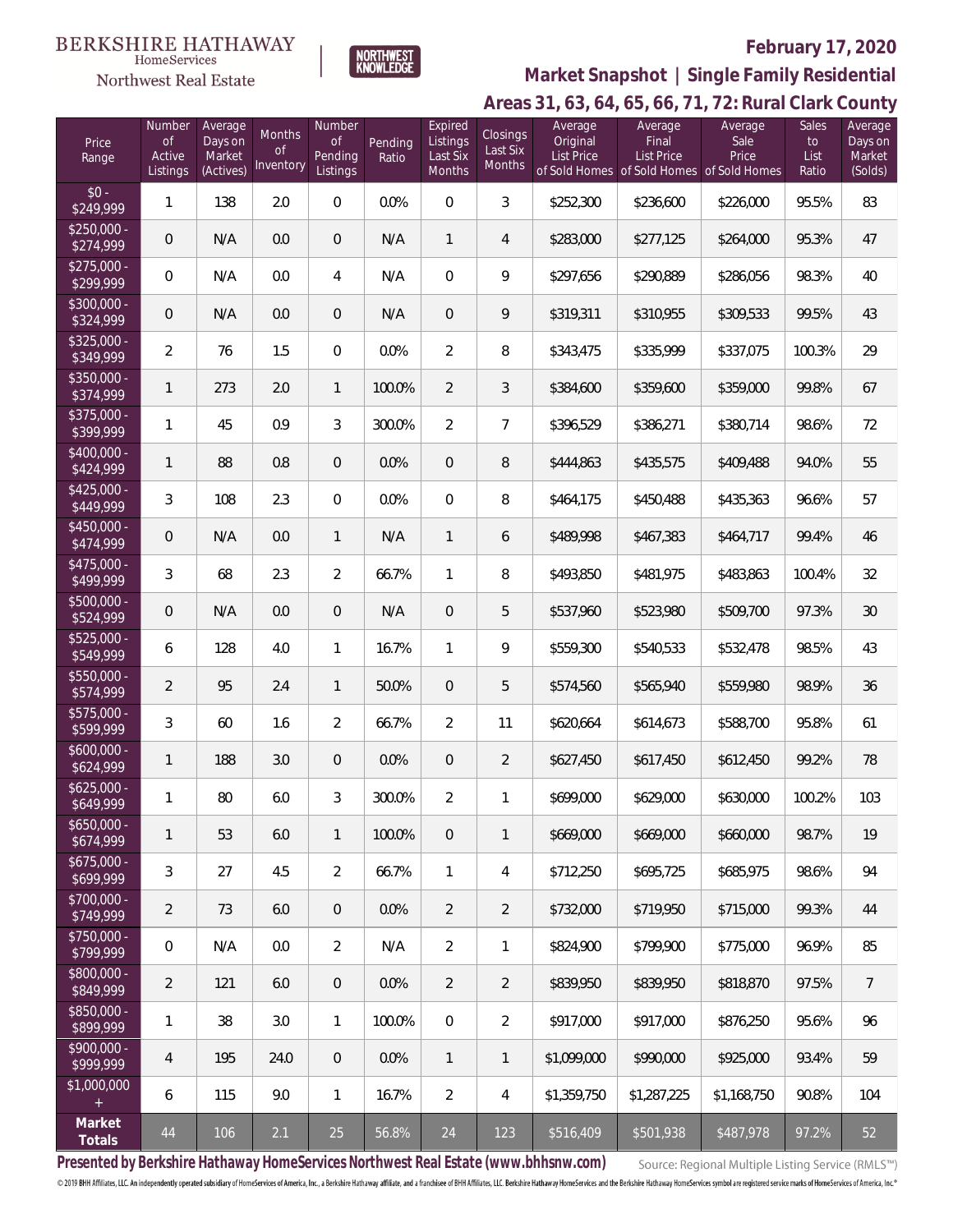#### **BERKSHIRE HATHAWAY**  $\label{lem:sevices} \textsc{Home} \textsc{Service} \textsc{s}$

Northwest Real Estate



### **February 17, 2020**

**Areas 31, 63, 64, 65, 66, 71, 72: Rural Clark County Market Snapshot | Single Family Residential**

| Price<br>Range            | Number<br>0f<br>Active<br>Listings | Average<br>Days on<br>Market<br>(Actives) | Months<br><sub>of</sub><br>Inventory | Number<br><b>of</b><br>Pending<br>Listings | Pending<br>Ratio | Expired<br>Listings<br>Last Six<br>Months | Closings<br>Last Six<br>Months | Average<br>Original<br><b>List Price</b> | Average<br>Final<br><b>List Price</b><br>of Sold Homes of Sold Homes of Sold Homes | Average<br>Sale<br>Price | Sales<br>to<br>List<br>Ratio | Average<br>Days on<br>Market<br>(Solds) |
|---------------------------|------------------------------------|-------------------------------------------|--------------------------------------|--------------------------------------------|------------------|-------------------------------------------|--------------------------------|------------------------------------------|------------------------------------------------------------------------------------|--------------------------|------------------------------|-----------------------------------------|
| $$0 -$<br>\$249,999       | $\mathbf{1}$                       | 138                                       | 2.0                                  | $\boldsymbol{0}$                           | 0.0%             | $\boldsymbol{0}$                          | 3                              | \$252,300                                | \$236,600                                                                          | \$226,000                | 95.5%                        | 83                                      |
| $$250,000 -$<br>\$274,999 | $\mathbf 0$                        | N/A                                       | 0.0                                  | $\theta$                                   | N/A              | $\mathbf{1}$                              | 4                              | \$283,000                                | \$277,125                                                                          | \$264,000                | 95.3%                        | 47                                      |
| $$275,000 -$<br>\$299,999 | 0                                  | N/A                                       | 0.0                                  | 4                                          | N/A              | $\overline{0}$                            | 9                              | \$297,656                                | \$290,889                                                                          | \$286,056                | 98.3%                        | 40                                      |
| \$300,000 -<br>\$324,999  | $\mathbf 0$                        | N/A                                       | 0.0                                  | 0                                          | N/A              | $\overline{0}$                            | 9                              | \$319,311                                | \$310,955                                                                          | \$309,533                | 99.5%                        | 43                                      |
| $$325,000 -$<br>\$349,999 | $\overline{2}$                     | 76                                        | 1.5                                  | $\mathbf{0}$                               | 0.0%             | $\overline{2}$                            | 8                              | \$343,475                                | \$335,999                                                                          | \$337,075                | 100.3%                       | 29                                      |
| $$350,000 -$<br>\$374,999 | $\mathbf{1}$                       | 273                                       | 2.0                                  | $\mathbf{1}$                               | 100.0%           | $\overline{2}$                            | 3                              | \$384,600                                | \$359,600                                                                          | \$359,000                | 99.8%                        | 67                                      |
| $$375,000 -$<br>\$399,999 | 1                                  | 45                                        | 0.9                                  | 3                                          | 300.0%           | $\overline{2}$                            | $\overline{7}$                 | \$396,529                                | \$386,271                                                                          | \$380,714                | 98.6%                        | 72                                      |
| $$400,000 -$<br>\$424,999 | 1                                  | 88                                        | 0.8                                  | 0                                          | 0.0%             | $\sqrt{a}$                                | 8                              | \$444,863                                | \$435,575                                                                          | \$409,488                | 94.0%                        | 55                                      |
| $$425,000 -$<br>\$449,999 | 3                                  | 108                                       | 2.3                                  | $\mathbf{0}$                               | 0.0%             | 0                                         | 8                              | \$464,175                                | \$450,488                                                                          | \$435,363                | 96.6%                        | 57                                      |
| $$450,000 -$<br>\$474,999 | $\theta$                           | N/A                                       | 0.0                                  | $\mathbf{1}$                               | N/A              | $\mathbf{1}$                              | 6                              | \$489,998                                | \$467,383                                                                          | \$464,717                | 99.4%                        | 46                                      |
| $$475,000 -$<br>\$499,999 | 3                                  | 68                                        | 2.3                                  | $\overline{2}$                             | 66.7%            | 1                                         | 8                              | \$493,850                                | \$481,975                                                                          | \$483,863                | 100.4%                       | 32                                      |
| $$500,000 -$<br>\$524,999 | $\mathbf 0$                        | N/A                                       | 0.0                                  | 0                                          | N/A              | $\sqrt{a}$                                | 5                              | \$537,960                                | \$523,980                                                                          | \$509,700                | 97.3%                        | 30                                      |
| $$525,000 -$<br>\$549,999 | 6                                  | 128                                       | 4.0                                  | $\mathbf{1}$                               | 16.7%            | 1                                         | 9                              | \$559,300                                | \$540,533                                                                          | \$532,478                | 98.5%                        | 43                                      |
| $$550,000 -$<br>\$574,999 | $\overline{2}$                     | 95                                        | 2.4                                  | $\mathbf{1}$                               | 50.0%            | $\overline{0}$                            | 5                              | \$574,560                                | \$565,940                                                                          | \$559,980                | 98.9%                        | 36                                      |
| $$575,000 -$<br>\$599,999 | 3                                  | 60                                        | 1.6                                  | $\overline{2}$                             | 66.7%            | $\overline{2}$                            | 11                             | \$620,664                                | \$614,673                                                                          | \$588,700                | 95.8%                        | 61                                      |
| $$600,000 -$<br>\$624,999 | 1                                  | 188                                       | 3.0                                  | 0                                          | 0.0%             | 0                                         | $\overline{2}$                 | \$627,450                                | \$617,450                                                                          | \$612,450                | 99.2%                        | 78                                      |
| $$625,000 -$<br>\$649,999 | 1                                  | 80                                        | 6.0                                  | 3                                          | 300.0%           | $\overline{2}$                            | 1                              | \$699,000                                | \$629,000                                                                          | \$630,000                | 100.2%                       | 103                                     |
| $$650,000 -$<br>\$674,999 | $\mathbf{1}$                       | 53                                        | 6.0                                  | $\mathbf{1}$                               | 100.0%           | $\overline{0}$                            | 1                              | \$669,000                                | \$669,000                                                                          | \$660,000                | 98.7%                        | 19                                      |
| $$675,000 -$<br>\$699,999 | 3                                  | 27                                        | 4.5                                  | $\overline{2}$                             | 66.7%            | $\mathbf{1}$                              | 4                              | \$712,250                                | \$695,725                                                                          | \$685,975                | 98.6%                        | 94                                      |
| $$700,000 -$<br>\$749,999 | $\overline{2}$                     | 73                                        | 6.0                                  | $\overline{0}$                             | 0.0%             | $\overline{2}$                            | $\overline{2}$                 | \$732,000                                | \$719,950                                                                          | \$715,000                | 99.3%                        | 44                                      |
| $$750,000 -$<br>\$799,999 | 0                                  | N/A                                       | 0.0                                  | $\overline{2}$                             | N/A              | $\overline{2}$                            | 1                              | \$824,900                                | \$799,900                                                                          | \$775,000                | 96.9%                        | 85                                      |
| $$800.000 -$<br>\$849,999 | $\overline{2}$                     | 121                                       | 6.0                                  | $\theta$                                   | 0.0%             | $\overline{2}$                            | $\overline{2}$                 | \$839,950                                | \$839,950                                                                          | \$818,870                | 97.5%                        | $\overline{7}$                          |
| $$850,000 -$<br>\$899,999 | 1                                  | 38                                        | 3.0                                  | $\mathbf{1}$                               | 100.0%           | $\overline{0}$                            | $\overline{2}$                 | \$917,000                                | \$917,000                                                                          | \$876,250                | 95.6%                        | 96                                      |
| $$900.000 -$<br>\$999,999 | 4                                  | 195                                       | 24.0                                 | $\overline{0}$                             | 0.0%             | $\mathbf{1}$                              | 1                              | \$1,099,000                              | \$990,000                                                                          | \$925,000                | 93.4%                        | 59                                      |
| \$1,000,000<br>$+$        | 6                                  | 115                                       | 9.0                                  | $\mathbf{1}$                               | 16.7%            | $\overline{2}$                            | 4                              | \$1,359,750                              | \$1,287,225                                                                        | \$1,168,750              | 90.8%                        | 104                                     |
| Market<br>Totals          | 44                                 | 106                                       | 2.1                                  | 25                                         | 56.8%            | 24                                        | 123                            | \$516,409                                | \$501,938                                                                          | \$487,978                | 97.2%                        | 52                                      |

**Presented by Berkshire Hathaway HomeServices Northwest Real Estate (www.bhhsnw.com)**

Source: Regional Multiple Listing Service (RMLS™)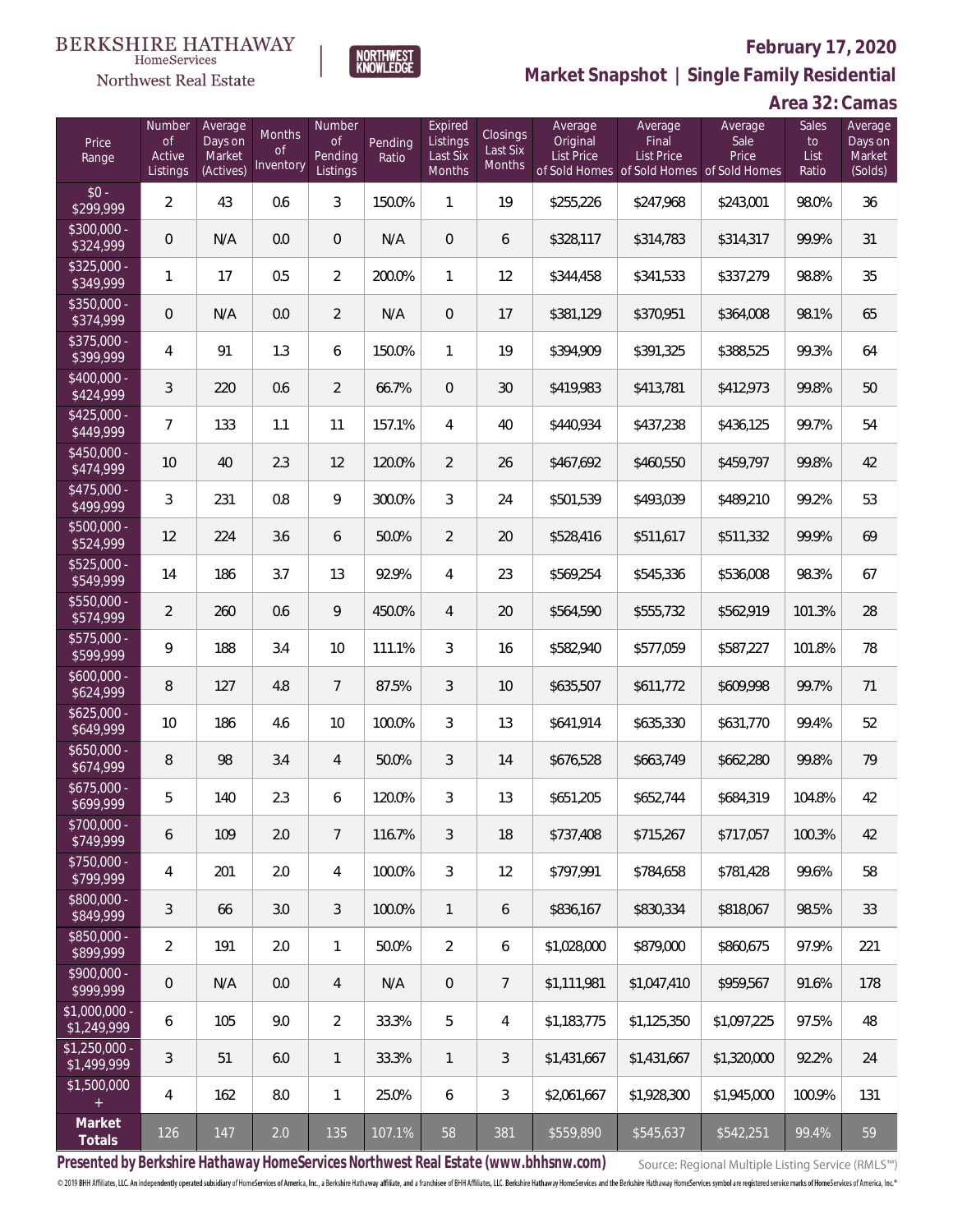#### **BERKSHIRE HATHAWAY** HomeServices



# **February 17, 2020**

**Market Snapshot | Single Family Residential**

# **Area 32: Camas**

| Price<br>Range                           | Number<br>of<br>Active<br>Listings | Average<br>Days on<br>Market<br>(Actives) | Months<br>Οf<br>Inventory | Number<br><b>of</b><br>Pending<br>Listings | Pending<br>Ratio | Expired<br>Listings<br>Last Six<br>Months | Closings<br>Last Six<br><b>Months</b> | Average<br>Original<br>List Price | Average<br>Final<br>List Price<br>of Sold Homes of Sold Homes of Sold Homes | Average<br>Sale<br>Price | Sales<br>to<br>List<br>Ratio | Average<br>Days on<br>Market<br>(Solds) |
|------------------------------------------|------------------------------------|-------------------------------------------|---------------------------|--------------------------------------------|------------------|-------------------------------------------|---------------------------------------|-----------------------------------|-----------------------------------------------------------------------------|--------------------------|------------------------------|-----------------------------------------|
| $$0 -$<br>\$299,999                      | $\overline{a}$                     | 43                                        | 0.6                       | 3                                          | 150.0%           | 1                                         | 19                                    | \$255,226                         | \$247,968                                                                   | \$243,001                | 98.0%                        | 36                                      |
| $$300,000 -$<br>\$324,999                | 0                                  | N/A                                       | 0.0                       | $\overline{0}$                             | N/A              | $\overline{0}$                            | 6                                     | \$328,117                         | \$314,783                                                                   | \$314,317                | 99.9%                        | 31                                      |
| $$325,000 -$<br>\$349,999                | 1                                  | 17                                        | 0.5                       | $\overline{2}$                             | 200.0%           | $\mathbf{1}$                              | 12                                    | \$344,458                         | \$341,533                                                                   | \$337,279                | 98.8%                        | 35                                      |
| \$350,000 -<br>\$374,999                 | 0                                  | N/A                                       | 0.0                       | $\overline{2}$                             | N/A              | $\overline{0}$                            | 17                                    | \$381,129                         | \$370,951                                                                   | \$364,008                | 98.1%                        | 65                                      |
| $$375,000 -$<br>\$399,999                | 4                                  | 91                                        | 1.3                       | 6                                          | 150.0%           | $\mathbf{1}$                              | 19                                    | \$394,909                         | \$391,325                                                                   | \$388,525                | 99.3%                        | 64                                      |
| $$400,000 -$<br>\$424,999                | 3                                  | 220                                       | 0.6                       | $\overline{2}$                             | 66.7%            | $\overline{0}$                            | 30                                    | \$419,983                         | \$413,781                                                                   | \$412,973                | 99.8%                        | 50                                      |
| $$425,000 -$<br>\$449,999                | 7                                  | 133                                       | 1.1                       | 11                                         | 157.1%           | $\overline{4}$                            | 40                                    | \$440,934                         | \$437,238                                                                   | \$436,125                | 99.7%                        | 54                                      |
| $$450,000 -$<br>\$474,999                | 10                                 | 40                                        | 2.3                       | 12                                         | 120.0%           | 2                                         | 26                                    | \$467,692                         | \$460,550                                                                   | \$459,797                | 99.8%                        | 42                                      |
| $$475,000 -$<br>\$499,999                | 3                                  | 231                                       | 0.8                       | $\mathcal{G}$                              | 300.0%           | 3                                         | 24                                    | \$501,539                         | \$493,039                                                                   | \$489,210                | 99.2%                        | 53                                      |
| $$500,000 -$<br>\$524,999                | 12                                 | 224                                       | 3.6                       | 6                                          | 50.0%            | 2                                         | 20                                    | \$528,416                         | \$511,617                                                                   | \$511,332                | 99.9%                        | 69                                      |
| $$525,000 -$<br>\$549,999                | 14                                 | 186                                       | 3.7                       | 13                                         | 92.9%            | $\overline{4}$                            | 23                                    | \$569,254                         | \$545,336                                                                   | \$536,008                | 98.3%                        | 67                                      |
| $$550,000 -$<br>\$574,999                | $\overline{2}$                     | 260                                       | 0.6                       | 9                                          | 450.0%           | $\overline{4}$                            | 20                                    | \$564,590                         | \$555,732                                                                   | \$562,919                | 101.3%                       | 28                                      |
| $$575,000 -$<br>\$599,999                | 9                                  | 188                                       | 3.4                       | 10                                         | 111.1%           | 3                                         | 16                                    | \$582,940                         | \$577,059                                                                   | \$587,227                | 101.8%                       | 78                                      |
| $$600,000 -$<br>\$624,999                | 8                                  | 127                                       | 4.8                       | $7\overline{ }$                            | 87.5%            | 3                                         | 10                                    | \$635,507                         | \$611,772                                                                   | \$609,998                | 99.7%                        | 71                                      |
| $$625,000 -$<br>\$649,999                | 10                                 | 186                                       | 4.6                       | 10                                         | 100.0%           | 3                                         | 13                                    | \$641,914                         | \$635,330                                                                   | \$631,770                | 99.4%                        | 52                                      |
| $$650,000 -$<br>\$674,999                | 8                                  | 98                                        | 3.4                       | 4                                          | 50.0%            | 3                                         | 14                                    | \$676,528                         | \$663,749                                                                   | \$662,280                | 99.8%                        | 79                                      |
| $$675,000 -$<br>\$699,999                | 5                                  | 140                                       | 2.3                       | 6                                          | 120.0%           | 3                                         | 13                                    | \$651,205                         | \$652,744                                                                   | \$684,319                | 104.8%                       | 42                                      |
| $$700,000 -$<br>\$749,999                | 6                                  | 109                                       | 2.0                       | 7                                          | 116.7%           | 3                                         | 18                                    | \$737,408                         | \$715,267                                                                   | \$717,057                | 100.3%                       | 42                                      |
| $$750,000 -$<br>\$799,999                | 4                                  | 201                                       | 2.0                       | $\overline{4}$                             | 100.0%           | $\mathfrak{Z}$                            | 12                                    | \$797,991                         | \$784,658                                                                   | \$781,428                | 99.6%                        | 58                                      |
| $$800,000 -$<br>\$849,999                | 3                                  | 66                                        | 3.0                       | 3                                          | 100.0%           | $\mathbf{1}$                              | 6                                     | \$836,167                         | \$830,334                                                                   | \$818,067                | 98.5%                        | 33                                      |
| $$850,000 -$<br>\$899,999                | $\overline{2}$                     | 191                                       | 2.0                       | $\mathbf{1}$                               | 50.0%            | $\overline{2}$                            | 6                                     | \$1,028,000                       | \$879,000                                                                   | \$860,675                | 97.9%                        | 221                                     |
| $$900,000 -$<br>\$999,999                | $\mathsf{O}\xspace$                | N/A                                       | 0.0                       | $\overline{4}$                             | N/A              | $\overline{0}$                            | $\overline{7}$                        | \$1,111,981                       | \$1,047,410                                                                 | \$959,567                | 91.6%                        | 178                                     |
| $\overline{$1,000,000}$ -<br>\$1,249,999 | 6                                  | 105                                       | 9.0                       | $\overline{2}$                             | 33.3%            | 5                                         | $\overline{4}$                        | \$1,183,775                       | \$1,125,350                                                                 | \$1,097,225              | 97.5%                        | 48                                      |
| $$1,250,000$ -<br>\$1,499,999            | $\mathfrak{Z}$                     | 51                                        | 6.0                       | $\mathbf{1}$                               | 33.3%            | $\mathbf{1}$                              | $\mathfrak{Z}$                        | \$1,431,667                       | \$1,431,667                                                                 | \$1,320,000              | 92.2%                        | 24                                      |
| \$1,500,000<br>$+$                       | 4                                  | 162                                       | 8.0                       | $\mathbf{1}$                               | 25.0%            | 6                                         | $\mathfrak{Z}$                        | \$2,061,667                       | \$1,928,300                                                                 | \$1,945,000              | 100.9%                       | 131                                     |
| Market<br>Totals                         | 126                                | 147                                       | 2.0                       | 135                                        | 107.1%           | 58                                        | 381                                   | \$559,890                         | \$545,637                                                                   | \$542,251                | 99.4%                        | 59                                      |

**NORTHWEST**<br>KNOWLEDGE

**Presented by Berkshire Hathaway HomeServices Northwest Real Estate (www.bhhsnw.com)**

Source: Regional Multiple Listing Service (RMLS™)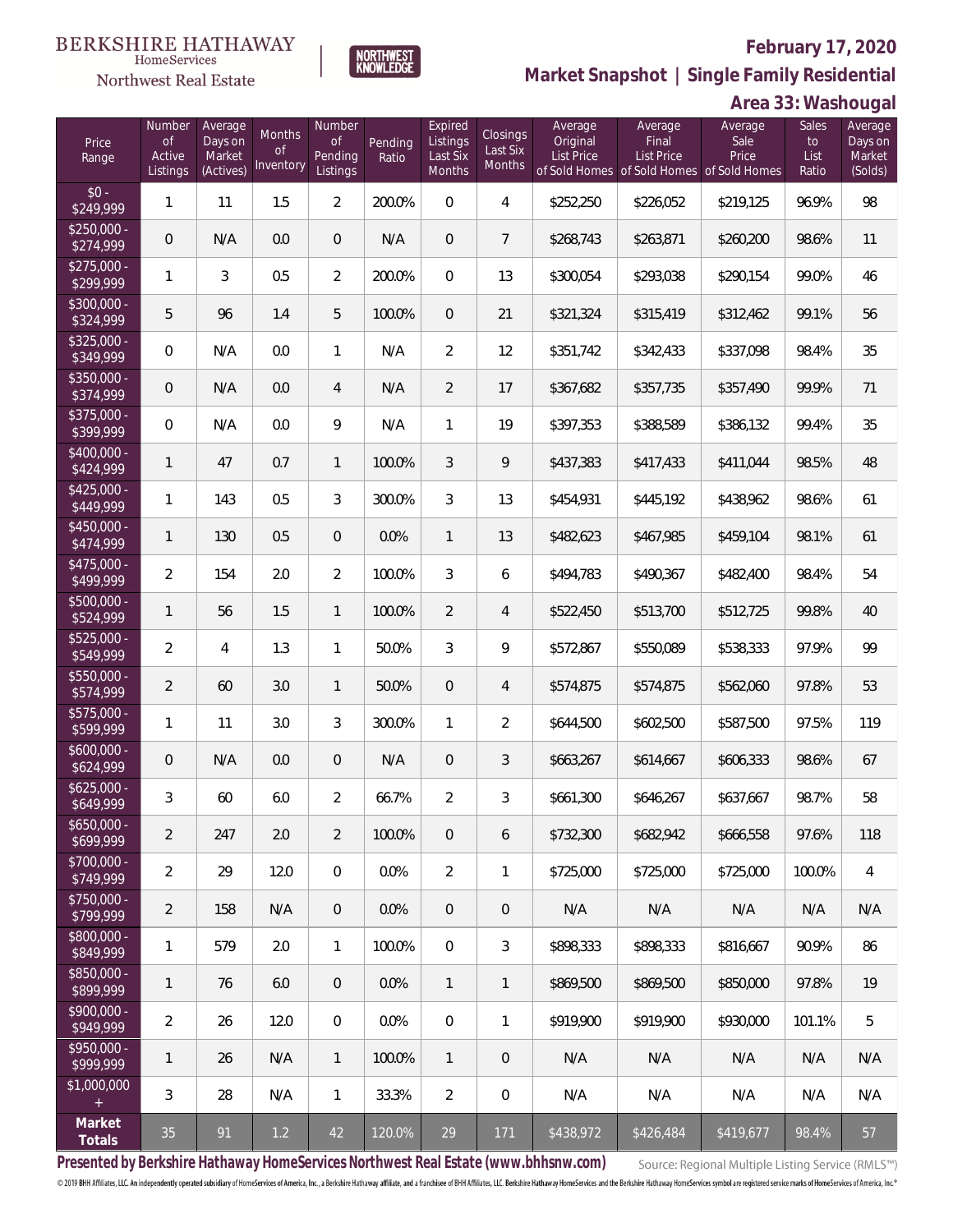

**NORTHWEST**<br>KNOWLEDGE

Northwest Real Estate

**Market Snapshot | Single Family Residential**

# **Area 33: Washougal**

| Price<br>Range            | Number<br>of<br>Active<br>Listings | Average<br>Days on<br>Market<br>(Actives) | Months<br>Οf<br>Inventory | Number<br><b>of</b><br>Pending<br>Listings | Pending<br>Ratio | Expired<br>Listings<br>Last Six<br>Months | Closings<br>Last Six<br>Months | Average<br>Original<br>List Price | Average<br>Final<br>List Price<br>of Sold Homes of Sold Homes of Sold Homes | Average<br>Sale<br>Price | Sales<br>to<br>List<br>Ratio | Average<br>Days on<br>Market<br>(Solds) |
|---------------------------|------------------------------------|-------------------------------------------|---------------------------|--------------------------------------------|------------------|-------------------------------------------|--------------------------------|-----------------------------------|-----------------------------------------------------------------------------|--------------------------|------------------------------|-----------------------------------------|
| $$0 -$<br>\$249,999       | 1                                  | 11                                        | 1.5                       | $\overline{2}$                             | 200.0%           | $\overline{0}$                            | $\overline{4}$                 | \$252,250                         | \$226,052                                                                   | \$219,125                | 96.9%                        | 98                                      |
| $$250,000 -$<br>\$274,999 | 0                                  | N/A                                       | 0.0                       | $\overline{0}$                             | N/A              | $\overline{0}$                            | $7\phantom{.0}$                | \$268,743                         | \$263,871                                                                   | \$260,200                | 98.6%                        | 11                                      |
| $$275,000 -$<br>\$299,999 | $\mathbf{1}$                       | 3                                         | 0.5                       | $\overline{2}$                             | 200.0%           | $\overline{0}$                            | 13                             | \$300,054                         | \$293,038                                                                   | \$290,154                | 99.0%                        | 46                                      |
| $$300,000 -$<br>\$324,999 | 5                                  | 96                                        | 1.4                       | 5                                          | 100.0%           | $\overline{0}$                            | 21                             | \$321,324                         | \$315,419                                                                   | \$312,462                | 99.1%                        | 56                                      |
| $$325,000 -$<br>\$349,999 | $\overline{0}$                     | N/A                                       | 0.0                       | $\mathbf{1}$                               | N/A              | $\overline{2}$                            | 12                             | \$351,742                         | \$342,433                                                                   | \$337,098                | 98.4%                        | 35                                      |
| $$350,000 -$<br>\$374,999 | 0                                  | N/A                                       | 0.0                       | 4                                          | N/A              | $\overline{2}$                            | 17                             | \$367,682                         | \$357,735                                                                   | \$357,490                | 99.9%                        | 71                                      |
| $$375,000 -$<br>\$399,999 | $\overline{0}$                     | N/A                                       | 0.0                       | 9                                          | N/A              | $\mathbf{1}$                              | 19                             | \$397,353                         | \$388,589                                                                   | \$386,132                | 99.4%                        | 35                                      |
| $$400,000 -$<br>\$424,999 | $\mathbf{1}$                       | 47                                        | 0.7                       | $\mathbf{1}$                               | 100.0%           | 3                                         | 9                              | \$437,383                         | \$417,433                                                                   | \$411,044                | 98.5%                        | 48                                      |
| $$425,000 -$<br>\$449,999 | 1                                  | 143                                       | 0.5                       | $\mathfrak{Z}$                             | 300.0%           | 3                                         | 13                             | \$454,931                         | \$445,192                                                                   | \$438,962                | 98.6%                        | 61                                      |
| $$450,000 -$<br>\$474,999 | $\mathbf{1}$                       | 130                                       | 0.5                       | $\overline{0}$                             | 0.0%             | $\mathbf{1}$                              | 13                             | \$482,623                         | \$467,985                                                                   | \$459,104                | 98.1%                        | 61                                      |
| $$475,000 -$<br>\$499,999 | $\overline{2}$                     | 154                                       | 2.0                       | $\overline{2}$                             | 100.0%           | $\mathfrak{Z}$                            | 6                              | \$494,783                         | \$490,367                                                                   | \$482,400                | 98.4%                        | 54                                      |
| $$500,000 -$<br>\$524,999 | $\mathbf{1}$                       | 56                                        | 1.5                       | $\mathbf{1}$                               | 100.0%           | $\overline{2}$                            | $\overline{4}$                 | \$522,450                         | \$513,700                                                                   | \$512,725                | 99.8%                        | 40                                      |
| $$525,000 -$<br>\$549,999 | $\overline{2}$                     | $\overline{4}$                            | 1.3                       | $\mathbf{1}$                               | 50.0%            | $\mathfrak{Z}$                            | 9                              | \$572,867                         | \$550,089                                                                   | \$538,333                | 97.9%                        | 99                                      |
| $$550,000 -$<br>\$574,999 | $\overline{2}$                     | 60                                        | 3.0                       | $\mathbf{1}$                               | 50.0%            | $\overline{0}$                            | $\overline{4}$                 | \$574,875                         | \$574,875                                                                   | \$562,060                | 97.8%                        | 53                                      |
| $$575,000 -$<br>\$599,999 | $\mathbf{1}$                       | 11                                        | 3.0                       | $\mathfrak{Z}$                             | 300.0%           | $\mathbf{1}$                              | $\overline{2}$                 | \$644,500                         | \$602,500                                                                   | \$587,500                | 97.5%                        | 119                                     |
| $$600,000 -$<br>\$624,999 | 0                                  | N/A                                       | 0.0                       | $\overline{0}$                             | N/A              | $\overline{0}$                            | 3                              | \$663,267                         | \$614,667                                                                   | \$606,333                | 98.6%                        | 67                                      |
| $$625,000 -$<br>\$649,999 | 3                                  | 60                                        | 6.0                       | $\overline{2}$                             | 66.7%            | $\overline{2}$                            | 3                              | \$661,300                         | \$646,267                                                                   | \$637,667                | 98.7%                        | 58                                      |
| $$650,000 -$<br>\$699,999 | $\overline{2}$                     | 247                                       | 2.0                       | $\overline{2}$                             | 100.0%           | $\overline{0}$                            | 6                              | \$732,300                         | \$682,942                                                                   | \$666,558                | 97.6%                        | 118                                     |
| $$700,000 -$<br>\$749,999 | $\overline{2}$                     | 29                                        | 12.0                      | $\mathbf 0$                                | 0.0%             | $\overline{2}$                            | 1                              | \$725,000                         | \$725,000                                                                   | \$725,000                | 100.0%                       | 4                                       |
| $$750,000 -$<br>\$799,999 | $\overline{2}$                     | 158                                       | N/A                       | $\overline{0}$                             | 0.0%             | $\overline{0}$                            | $\mathsf{O}\xspace$            | N/A                               | N/A                                                                         | N/A                      | N/A                          | N/A                                     |
| $$800,000 -$<br>\$849,999 | 1                                  | 579                                       | 2.0                       | $\mathbf{1}$                               | 100.0%           | $\mathbf 0$                               | 3                              | \$898,333                         | \$898,333                                                                   | \$816,667                | 90.9%                        | 86                                      |
| $$850,000 -$<br>\$899,999 | 1                                  | 76                                        | 6.0                       | $\overline{0}$                             | 0.0%             | $\mathbf{1}$                              | 1                              | \$869,500                         | \$869,500                                                                   | \$850,000                | 97.8%                        | 19                                      |
| $$900,000 -$<br>\$949,999 | $\overline{2}$                     | 26                                        | 12.0                      | $\mathbf 0$                                | 0.0%             | $\mathbf 0$                               | 1                              | \$919,900                         | \$919,900                                                                   | \$930,000                | 101.1%                       | 5                                       |
| $$950.000 -$<br>\$999,999 | 1                                  | 26                                        | N/A                       | $\mathbf{1}$                               | 100.0%           | $\mathbf{1}$                              | 0                              | N/A                               | N/A                                                                         | N/A                      | N/A                          | N/A                                     |
| \$1,000,000<br>$+$        | 3                                  | 28                                        | N/A                       | $\mathbf{1}$                               | 33.3%            | $\overline{2}$                            | $\mathbf 0$                    | N/A                               | N/A                                                                         | N/A                      | N/A                          | N/A                                     |
| Market<br>Totals          | 35                                 | 91                                        | $1.2$                     | 42                                         | 120.0%           | 29                                        | 171                            | \$438,972                         | \$426,484                                                                   | \$419,677                | 98.4%                        | 57                                      |

**Presented by Berkshire Hathaway HomeServices Northwest Real Estate (www.bhhsnw.com)**

Source: Regional Multiple Listing Service (RMLS™)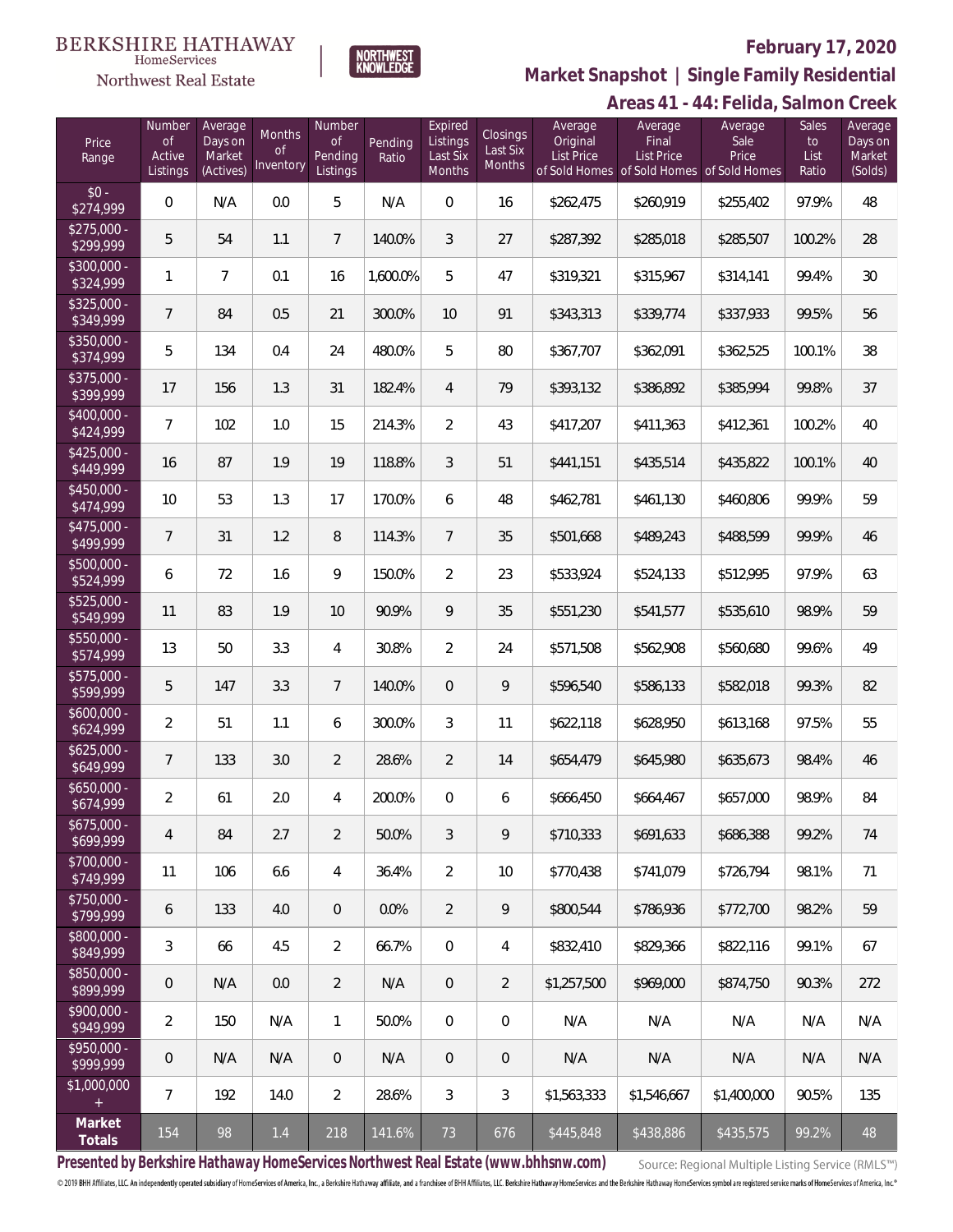#### **BERKSHIRE HATHAWAY**  $\label{lem:sevices} \textsc{Home} \textsc{Service} \textsc{s}$

Northwest Real Estate



### **February 17, 2020**

**Market Snapshot | Single Family Residential**

|                           |                                           |                                           |                                  |                                     |                  |                                           |                                       |                                          | Areas 41 - 44: Felida, Salmon Creek                                                |                          |                              |                                         |
|---------------------------|-------------------------------------------|-------------------------------------------|----------------------------------|-------------------------------------|------------------|-------------------------------------------|---------------------------------------|------------------------------------------|------------------------------------------------------------------------------------|--------------------------|------------------------------|-----------------------------------------|
| Price<br>Range            | Number<br><b>of</b><br>Active<br>Listings | Average<br>Days on<br>Market<br>(Actives) | Months<br><b>of</b><br>Inventory | Number<br>of<br>Pending<br>Listings | Pending<br>Ratio | Expired<br>Listings<br>Last Six<br>Months | <b>Closings</b><br>Last Six<br>Months | Average<br>Original<br><b>List Price</b> | Average<br>Final<br><b>List Price</b><br>of Sold Homes of Sold Homes of Sold Homes | Average<br>Sale<br>Price | Sales<br>to<br>List<br>Ratio | Average<br>Days on<br>Market<br>(Solds) |
| $$0 -$<br>\$274,999       | $\mathbf 0$                               | N/A                                       | 0.0                              | 5                                   | N/A              | $\mathbf 0$                               | 16                                    | \$262,475                                | \$260,919                                                                          | \$255,402                | 97.9%                        | 48                                      |
| $$275,000 -$<br>\$299,999 | 5                                         | 54                                        | 1.1                              | $\overline{7}$                      | 140.0%           | $\mathfrak{Z}$                            | 27                                    | \$287,392                                | \$285,018                                                                          | \$285,507                | 100.2%                       | 28                                      |
| \$300,000 -<br>\$324,999  | 1                                         | $\overline{7}$                            | 0.1                              | 16                                  | 1,600.0%         | 5                                         | 47                                    | \$319,321                                | \$315,967                                                                          | \$314,141                | 99.4%                        | 30                                      |
| $$325,000 -$<br>\$349,999 | $\overline{7}$                            | 84                                        | 0.5                              | 21                                  | 300.0%           | 10                                        | 91                                    | \$343,313                                | \$339,774                                                                          | \$337,933                | 99.5%                        | 56                                      |
| \$350,000 -<br>\$374,999  | 5                                         | 134                                       | 0.4                              | 24                                  | 480.0%           | 5                                         | 80                                    | \$367,707                                | \$362,091                                                                          | \$362,525                | 100.1%                       | 38                                      |
| \$375,000 -<br>\$399,999  | 17                                        | 156                                       | 1.3                              | 31                                  | 182.4%           | $\overline{4}$                            | 79                                    | \$393,132                                | \$386,892                                                                          | \$385,994                | 99.8%                        | 37                                      |
| $$400,000 -$<br>\$424,999 | $\overline{7}$                            | 102                                       | 1.0                              | 15                                  | 214.3%           | $\overline{2}$                            | 43                                    | \$417,207                                | \$411,363                                                                          | \$412,361                | 100.2%                       | 40                                      |
| $$425,000 -$<br>\$449,999 | 16                                        | 87                                        | 1.9                              | 19                                  | 118.8%           | $\mathfrak{Z}$                            | 51                                    | \$441,151                                | \$435,514                                                                          | \$435,822                | 100.1%                       | 40                                      |
| $$450,000 -$<br>\$474,999 | 10                                        | 53                                        | 1.3                              | 17                                  | 170.0%           | 6                                         | 48                                    | \$462,781                                | \$461,130                                                                          | \$460,806                | 99.9%                        | 59                                      |
| $$475,000 -$<br>\$499,999 | $\overline{7}$                            | 31                                        | 1.2                              | 8                                   | 114.3%           | $\overline{7}$                            | 35                                    | \$501,668                                | \$489,243                                                                          | \$488,599                | 99.9%                        | 46                                      |
| \$500,000 -<br>\$524,999  | 6                                         | 72                                        | 1.6                              | 9                                   | 150.0%           | $\overline{2}$                            | 23                                    | \$533,924                                | \$524,133                                                                          | \$512,995                | 97.9%                        | 63                                      |
| $$525,000 -$<br>\$549,999 | 11                                        | 83                                        | 1.9                              | 10                                  | 90.9%            | 9                                         | 35                                    | \$551,230                                | \$541,577                                                                          | \$535,610                | 98.9%                        | 59                                      |
| $$550,000 -$<br>\$574,999 | 13                                        | 50                                        | 3.3                              | 4                                   | 30.8%            | $\overline{2}$                            | 24                                    | \$571,508                                | \$562,908                                                                          | \$560,680                | 99.6%                        | 49                                      |
| \$575,000 -<br>\$599,999  | 5                                         | 147                                       | 3.3                              | $\overline{7}$                      | 140.0%           | $\overline{0}$                            | 9                                     | \$596,540                                | \$586,133                                                                          | \$582,018                | 99.3%                        | 82                                      |
| $$600,000 -$<br>\$624,999 | $\overline{2}$                            | 51                                        | 1.1                              | 6                                   | 300.0%           | $\mathfrak{Z}$                            | 11                                    | \$622,118                                | \$628,950                                                                          | \$613,168                | 97.5%                        | 55                                      |
| $$625,000 -$<br>\$649,999 | 7                                         | 133                                       | 3.0                              | $\overline{2}$                      | 28.6%            | $\overline{2}$                            | 14                                    | \$654,479                                | \$645,980                                                                          | \$635,673                | 98.4%                        | 46                                      |
| \$650,000<br>\$674,999    | 2                                         | 61                                        | 2.0                              | 4                                   | 200.0%           | $\mathbf{0}$                              | 6                                     | \$666,450                                | \$664,467                                                                          | \$657,000                | 98.9%                        | 84                                      |
| $$675,000 -$<br>\$699,999 | 4                                         | 84                                        | 2.7                              | $\overline{2}$                      | 50.0%            | 3                                         | 9                                     | \$710,333                                | \$691,633                                                                          | \$686,388                | 99.2%                        | 74                                      |
| $$700,000 -$<br>\$749,999 | 11                                        | 106                                       | 6.6                              | 4                                   | 36.4%            | $\overline{2}$                            | 10                                    | \$770,438                                | \$741,079                                                                          | \$726.794                | 98.1%                        | 71                                      |
| \$750,000 -<br>\$799,999  | 6                                         | 133                                       | 4.0                              | $\overline{0}$                      | 0.0%             | $\overline{2}$                            | $\mathsf{Q}$                          | \$800,544                                | \$786,936                                                                          | \$772,700                | 98.2%                        | 59                                      |
| \$800,000 -<br>\$849,999  | 3                                         | 66                                        | 4.5                              | $\overline{2}$                      | 66.7%            | $\mathbf 0$                               | 4                                     | \$832,410                                | \$829,366                                                                          | \$822,116                | 99.1%                        | 67                                      |
| \$850,000 -<br>\$899,999  | 0                                         | N/A                                       | 0.0                              | $\overline{2}$                      | N/A              | $\mathbf{0}$                              | $\overline{2}$                        | \$1,257,500                              | \$969,000                                                                          | \$874,750                | 90.3%                        | 272                                     |
| $$900,000 -$<br>\$949,999 | $\overline{2}$                            | 150                                       | N/A                              | $\mathbf{1}$                        | 50.0%            | $\overline{0}$                            | $\boldsymbol{0}$                      | N/A                                      | N/A                                                                                | N/A                      | N/A                          | N/A                                     |
| $$950,000 -$<br>\$999,999 | 0                                         | N/A                                       | N/A                              | $\theta$                            | N/A              | $\mathbf{0}$                              | $\mathbf{0}$                          | N/A                                      | N/A                                                                                | N/A                      | N/A                          | N/A                                     |
| \$1,000,000<br>$+$        | 7                                         | 192                                       | 14.0                             | $\overline{2}$                      | 28.6%            | 3                                         | $\mathfrak{Z}$                        | \$1,563,333                              | \$1,546,667                                                                        | \$1,400,000              | 90.5%                        | 135                                     |
| Market<br>Totals          | 154                                       | 98                                        | 1.4                              | 218                                 | 141.6%           | 73                                        | 676                                   | \$445,848                                | \$438,886                                                                          | \$435,575                | 99.2%                        | 48                                      |

**Presented by Berkshire Hathaway HomeServices Northwest Real Estate (www.bhhsnw.com)**

Source: Regional Multiple Listing Service (RMLS™)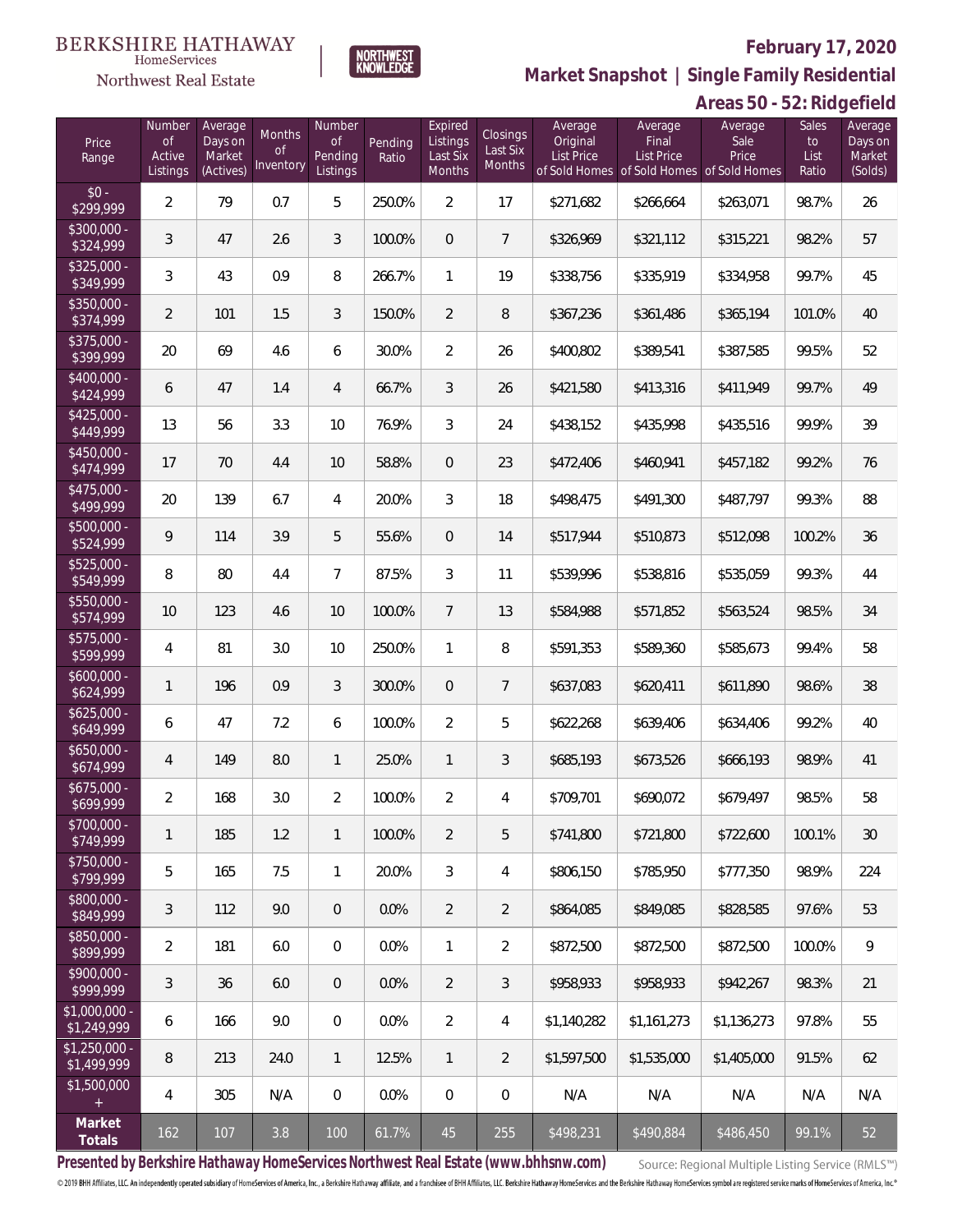

 $\label{lem:sevices} \textsc{Home} \textsc{Service} \textsc{s}$ 

**Market Snapshot | Single Family Residential**

# **Areas 50 - 52: Ridgefield**

| Price<br>Range                    | Number<br><b>of</b><br>Active<br>Listings | Average<br>Days on<br>Market<br>(Actives) | Months<br><sub>of</sub><br>Inventory | Number<br>of<br>Pending<br>Listings | Pending<br>Ratio | Expired<br>Listings<br>Last Six<br>Months | <b>Closings</b><br>Last Six<br>Months | Average<br>Original<br><b>List Price</b> | Average<br>Final<br><b>List Price</b><br>of Sold Homes of Sold Homes | Average<br>Sale<br>Price<br>of Sold Homes | 02. 090. . 0. 0.<br>Sales<br>to<br>List<br>Ratio | Average<br>Days on<br>Market<br>(Solds) |
|-----------------------------------|-------------------------------------------|-------------------------------------------|--------------------------------------|-------------------------------------|------------------|-------------------------------------------|---------------------------------------|------------------------------------------|----------------------------------------------------------------------|-------------------------------------------|--------------------------------------------------|-----------------------------------------|
| $$0 -$<br>\$299,999               | $\overline{2}$                            | 79                                        | 0.7                                  | 5                                   | 250.0%           | $\overline{2}$                            | 17                                    | \$271,682                                | \$266,664                                                            | \$263,071                                 | 98.7%                                            | 26                                      |
| $$300,000 -$<br>\$324,999         | 3                                         | 47                                        | 2.6                                  | $\sqrt{3}$                          | 100.0%           | $\boldsymbol{0}$                          | 7                                     | \$326,969                                | \$321,112                                                            | \$315,221                                 | 98.2%                                            | 57                                      |
| $$325,000 -$<br>\$349,999         | 3                                         | 43                                        | 0.9                                  | 8                                   | 266.7%           | $\mathbf{1}$                              | 19                                    | \$338,756                                | \$335,919                                                            | \$334,958                                 | 99.7%                                            | 45                                      |
| \$350,000 -<br>\$374,999          | $\overline{2}$                            | 101                                       | 1.5                                  | $\sqrt{3}$                          | 150.0%           | $\overline{2}$                            | $\, 8$                                | \$367,236                                | \$361,486                                                            | \$365,194                                 | 101.0%                                           | 40                                      |
| \$375,000 -<br>\$399,999          | 20                                        | 69                                        | 4.6                                  | 6                                   | 30.0%            | $\overline{2}$                            | 26                                    | \$400,802                                | \$389,541                                                            | \$387,585                                 | 99.5%                                            | 52                                      |
| $$400,000 -$<br>$\sqrt{$424,999}$ | 6                                         | 47                                        | 1.4                                  | $\overline{4}$                      | 66.7%            | $\mathfrak{Z}$                            | 26                                    | \$421,580                                | \$413,316                                                            | \$411,949                                 | 99.7%                                            | 49                                      |
| $$425,000 -$<br>\$449,999         | 13                                        | 56                                        | 3.3                                  | 10                                  | 76.9%            | 3                                         | 24                                    | \$438,152                                | \$435,998                                                            | \$435,516                                 | 99.9%                                            | 39                                      |
| $$450,000 -$<br>\$474,999         | 17                                        | 70                                        | 4.4                                  | 10                                  | 58.8%            | $\boldsymbol{0}$                          | 23                                    | \$472,406                                | \$460,941                                                            | \$457,182                                 | 99.2%                                            | 76                                      |
| $$475,000 -$<br>\$499,999         | 20                                        | 139                                       | 6.7                                  | 4                                   | 20.0%            | 3                                         | 18                                    | \$498,475                                | \$491,300                                                            | \$487,797                                 | 99.3%                                            | 88                                      |
| $$500,000 -$<br>\$524,999         | 9                                         | 114                                       | 3.9                                  | 5                                   | 55.6%            | $\boldsymbol{0}$                          | 14                                    | \$517,944                                | \$510,873                                                            | \$512,098                                 | 100.2%                                           | 36                                      |
| \$525,000 -<br>\$549,999          | 8                                         | 80                                        | 4.4                                  | $\overline{7}$                      | 87.5%            | 3                                         | 11                                    | \$539,996                                | \$538,816                                                            | \$535,059                                 | 99.3%                                            | 44                                      |
| \$550,000 -<br>\$574,999          | 10                                        | 123                                       | 4.6                                  | 10                                  | 100.0%           | $7\overline{ }$                           | 13                                    | \$584,988                                | \$571,852                                                            | \$563,524                                 | 98.5%                                            | 34                                      |
| \$575,000 -<br>\$599,999          | $\overline{4}$                            | 81                                        | 3.0                                  | 10                                  | 250.0%           | $\mathbf{1}$                              | 8                                     | \$591,353                                | \$589,360                                                            | \$585,673                                 | 99.4%                                            | 58                                      |
| $$600,000 -$<br>\$624,999         | $\mathbf{1}$                              | 196                                       | 0.9                                  | 3                                   | 300.0%           | $\boldsymbol{0}$                          | 7                                     | \$637,083                                | \$620,411                                                            | \$611,890                                 | 98.6%                                            | 38                                      |
| $$625,000 -$<br>\$649,999         | 6                                         | 47                                        | 7.2                                  | 6                                   | 100.0%           | $\overline{2}$                            | 5                                     | \$622,268                                | \$639,406                                                            | \$634,406                                 | 99.2%                                            | 40                                      |
| $$650,000 -$<br>\$674,999         | $\overline{4}$                            | 149                                       | 8.0                                  | $\mathbf{1}$                        | 25.0%            | $\mathbf{1}$                              | 3                                     | \$685,193                                | \$673,526                                                            | \$666,193                                 | 98.9%                                            | 41                                      |
| $$675,000 -$<br>\$699,999         | $\overline{2}$                            | 168                                       | 3.0                                  | $\overline{2}$                      | 100.0%           | $\overline{2}$                            | 4                                     | \$709,701                                | \$690,072                                                            | \$679,497                                 | 98.5%                                            | 58                                      |
| \$700,000 -<br>\$749,999          | 1                                         | 185                                       | 1.2                                  | $\mathbf{1}$                        | 100.0%           | $\overline{2}$                            | 5                                     | \$741,800                                | \$721,800                                                            | \$722,600                                 | 100.1%                                           | 30                                      |
| \$750,000 -<br>\$799,999          | 5                                         | 165                                       | 7.5                                  | $\mathbf{1}$                        | 20.0%            | 3                                         | $\overline{4}$                        | \$806,150                                | \$785,950                                                            | \$777,350                                 | 98.9%                                            | 224                                     |
| \$800,000 -<br>\$849,999          | 3                                         | 112                                       | 9.0                                  | $\overline{0}$                      | $0.0\%$          | $\overline{2}$                            | $\overline{2}$                        | \$864,085                                | \$849,085                                                            | \$828,585                                 | 97.6%                                            | 53                                      |
| $$850,000 -$<br>\$899,999         | $\overline{2}$                            | 181                                       | 6.0                                  | $\mathbf 0$                         | $0.0\%$          | $\mathbf{1}$                              | $\overline{a}$                        | \$872,500                                | \$872,500                                                            | \$872,500                                 | 100.0%                                           | 9                                       |
| $$900,000 -$<br>\$999,999         | 3                                         | 36                                        | 6.0                                  | $\boldsymbol{0}$                    | 0.0%             | $\overline{2}$                            | 3                                     | \$958,933                                | \$958,933                                                            | \$942,267                                 | 98.3%                                            | 21                                      |
| \$1,000,000 -<br>\$1,249,999      | 6                                         | 166                                       | 9.0                                  | $\mathbf 0$                         | 0.0%             | $\overline{2}$                            | $\overline{4}$                        | \$1,140,282                              | \$1,161,273                                                          | \$1,136,273                               | 97.8%                                            | 55                                      |
| $$1,250,000$ -<br>\$1,499,999     | 8                                         | 213                                       | 24.0                                 | $\mathbf{1}$                        | 12.5%            | $\mathbf{1}$                              | $\overline{2}$                        | \$1,597,500                              | \$1,535,000                                                          | \$1,405,000                               | 91.5%                                            | 62                                      |
| \$1,500,000<br>$^{+}$             | $\overline{4}$                            | 305                                       | N/A                                  | $\overline{0}$                      | 0.0%             | $\mathbf 0$                               | $\mathbf 0$                           | N/A                                      | N/A                                                                  | N/A                                       | N/A                                              | N/A                                     |
| Market<br>Totals                  | 162                                       | 107                                       | 3.8                                  | 100                                 | 61.7%            | 45                                        | 255                                   | \$498,231                                | \$490,884                                                            | \$486,450                                 | 99.1%                                            | 52                                      |

**Presented by Berkshire Hathaway HomeServices Northwest Real Estate (www.bhhsnw.com)**

Source: Regional Multiple Listing Service (RMLS™)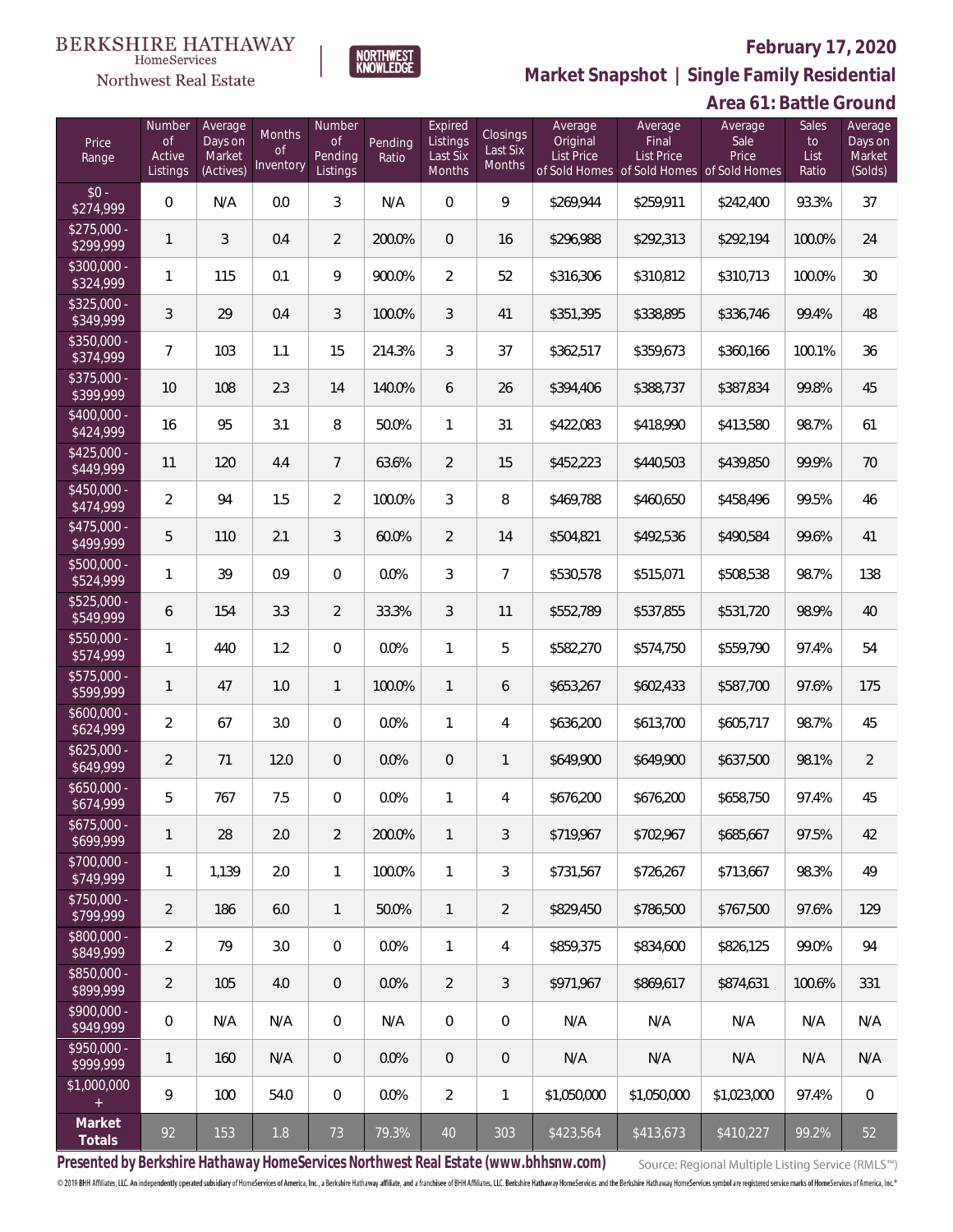

 $\label{lem:sevices} \textsc{Home} \textsc{Service} \textsc{s}$ 

**Market Snapshot | Single Family Residential**

# **Area 61: Battle Ground**

| Price<br>Range            | Number<br>of<br>Active<br>Listings | Average<br>Days on<br>Market<br>(Actives) | Months<br>0f<br>Inventory | Number<br><b>of</b><br>Pending<br>Listings | Pending<br>Ratio | Expired<br>Listings<br>Last Six<br><b>Months</b> | <b>Closings</b><br>Last Six<br>Months | Average<br>Original<br><b>List Price</b> | Average<br>Final<br>List Price<br>of Sold Homes of Sold Homes | Average<br>Sale<br>Price<br>of Sold Homes | Sales<br>to<br>List<br>Ratio | Average<br>Days on<br>Market<br>(Solds) |
|---------------------------|------------------------------------|-------------------------------------------|---------------------------|--------------------------------------------|------------------|--------------------------------------------------|---------------------------------------|------------------------------------------|---------------------------------------------------------------|-------------------------------------------|------------------------------|-----------------------------------------|
| $$0 -$<br>\$274,999       | 0                                  | N/A                                       | 0.0                       | 3                                          | N/A              | $\overline{0}$                                   | 9                                     | \$269,944                                | \$259,911                                                     | \$242,400                                 | 93.3%                        | 37                                      |
| $$275,000 -$<br>\$299,999 | 1                                  | 3                                         | 0.4                       | 2                                          | 200.0%           | $\overline{0}$                                   | 16                                    | \$296,988                                | \$292,313                                                     | \$292,194                                 | 100.0%                       | 24                                      |
| \$300,000 -<br>\$324,999  | 1                                  | 115                                       | 0.1                       | 9                                          | 900.0%           | $\overline{2}$                                   | 52                                    | \$316,306                                | \$310,812                                                     | \$310,713                                 | 100.0%                       | 30                                      |
| $$325,000 -$<br>\$349,999 | $\mathfrak{Z}$                     | 29                                        | 0.4                       | 3                                          | 100.0%           | 3                                                | 41                                    | \$351,395                                | \$338,895                                                     | \$336,746                                 | 99.4%                        | 48                                      |
| \$350,000 -<br>\$374,999  | $\overline{7}$                     | 103                                       | 1.1                       | 15                                         | 214.3%           | 3                                                | 37                                    | \$362,517                                | \$359,673                                                     | \$360,166                                 | 100.1%                       | 36                                      |
| $$375,000 -$<br>\$399,999 | 10                                 | 108                                       | 2.3                       | 14                                         | 140.0%           | 6                                                | 26                                    | \$394,406                                | \$388,737                                                     | \$387,834                                 | 99.8%                        | 45                                      |
| \$400,000 -<br>\$424,999  | 16                                 | 95                                        | 3.1                       | 8                                          | 50.0%            | 1                                                | 31                                    | \$422,083                                | \$418,990                                                     | \$413,580                                 | 98.7%                        | 61                                      |
| $$425,000 -$<br>\$449,999 | 11                                 | 120                                       | 4.4                       | $7^{\circ}$                                | 63.6%            | $\overline{2}$                                   | 15                                    | \$452,223                                | \$440,503                                                     | \$439,850                                 | 99.9%                        | 70                                      |
| \$450,000 -<br>\$474,999  | $\overline{2}$                     | 94                                        | 1.5                       | $\overline{2}$                             | 100.0%           | 3                                                | 8                                     | \$469,788                                | \$460,650                                                     | \$458,496                                 | 99.5%                        | 46                                      |
| \$475,000 -<br>\$499,999  | 5                                  | 110                                       | 2.1                       | 3                                          | 60.0%            | $\overline{2}$                                   | 14                                    | \$504,821                                | \$492,536                                                     | \$490,584                                 | 99.6%                        | 41                                      |
| \$500,000 -<br>\$524,999  | 1                                  | 39                                        | 0.9                       | $\overline{0}$                             | 0.0%             | 3                                                | $\overline{7}$                        | \$530,578                                | \$515,071                                                     | \$508,538                                 | 98.7%                        | 138                                     |
| \$525,000 -<br>\$549,999  | 6                                  | 154                                       | 3.3                       | $\overline{2}$                             | 33.3%            | 3                                                | 11                                    | \$552,789                                | \$537,855                                                     | \$531,720                                 | 98.9%                        | 40                                      |
| \$550,000 -<br>\$574,999  | 1                                  | 440                                       | 1.2                       | $\overline{0}$                             | 0.0%             | 1                                                | 5                                     | \$582,270                                | \$574,750                                                     | \$559,790                                 | 97.4%                        | 54                                      |
| $$575,000 -$<br>\$599,999 | 1                                  | 47                                        | 1.0                       | $\mathbf{1}$                               | 100.0%           | $\mathbf{1}$                                     | 6                                     | \$653,267                                | \$602,433                                                     | \$587,700                                 | 97.6%                        | 175                                     |
| $$600,000 -$<br>\$624,999 | $\overline{2}$                     | 67                                        | 3.0                       | $\boldsymbol{0}$                           | 0.0%             | 1                                                | 4                                     | \$636,200                                | \$613,700                                                     | \$605,717                                 | 98.7%                        | 45                                      |
| $$625,000 -$<br>\$649,999 | $\overline{2}$                     | 71                                        | 12.0                      | $\theta$                                   | 0.0%             | $\theta$                                         | 1                                     | \$649,900                                | \$649,900                                                     | \$637,500                                 | 98.1%                        | $\overline{2}$                          |
| $$650,000 -$<br>\$674,999 | 5                                  | 767                                       | 7.5                       | $\mathbf{0}$                               | 0.0%             | 1                                                | 4                                     | \$676,200                                | \$676,200                                                     | \$658,750                                 | 97.4%                        | 45                                      |
| $$675,000 -$<br>\$699,999 | 1                                  | 28                                        | 2.0                       | 2                                          | 200.0%           | 1                                                | 3                                     | \$719,967                                | \$702,967                                                     | \$685.667                                 | 97.5%                        | 42                                      |
| \$700,000 -<br>\$749,999  | 1                                  | 1,139                                     | 2.0                       | $\mathbf{1}$                               | 100.0%           | $\mathbf{1}$                                     | 3                                     | \$731,567                                | \$726.267                                                     | \$713,667                                 | 98.3%                        | 49                                      |
| \$750,000 -<br>\$799,999  | 2                                  | 186                                       | 6.0                       | $\mathbf{1}$                               | 50.0%            | $\mathbf{1}$                                     | $\overline{2}$                        | \$829,450                                | \$786.500                                                     | \$767,500                                 | 97.6%                        | 129                                     |
| \$800,000 -<br>\$849,999  | $\overline{2}$                     | 79                                        | 3.0                       | $\mathbf{0}$                               | 0.0%             | $\mathbf{1}$                                     | 4                                     | \$859,375                                | \$834,600                                                     | \$826,125                                 | 99.0%                        | 94                                      |
| \$850,000 -<br>\$899,999  | $\overline{2}$                     | 105                                       | 4.0                       | $\overline{0}$                             | 0.0%             | 2                                                | 3                                     | \$971,967                                | \$869.617                                                     | \$874,631                                 | 100.6%                       | 331                                     |
| \$900,000 -<br>\$949,999  | 0                                  | N/A                                       | N/A                       | 0                                          | N/A              | $\overline{0}$                                   | 0                                     | N/A                                      | N/A                                                           | N/A                                       | N/A                          | N/A                                     |
| $$950,000 -$<br>\$999,999 | 1                                  | 160                                       | N/A                       | $\overline{0}$                             | 0.0%             | $\overline{0}$                                   | $\overline{0}$                        | N/A                                      | N/A                                                           | N/A                                       | N/A                          | N/A                                     |
| \$1,000,000               | 9                                  | 100                                       | 54.0                      | $\overline{0}$                             | 0.0%             | $\overline{2}$                                   | 1                                     | \$1,050,000                              | \$1,050,000                                                   | \$1,023,000                               | 97.4%                        | $\mathbf 0$                             |
| Market<br>Totals          | 92                                 | 153                                       | 1.8                       | 73                                         | 79.3%            | 40                                               | 303                                   | \$423,564                                | \$413,673                                                     | \$410,227                                 | 99.2%                        | 52                                      |

**Presented by Berkshire Hathaway HomeServices Northwest Real Estate (www.bhhsnw.com)**

Source: Regional Multiple Listing Service (RMLS™)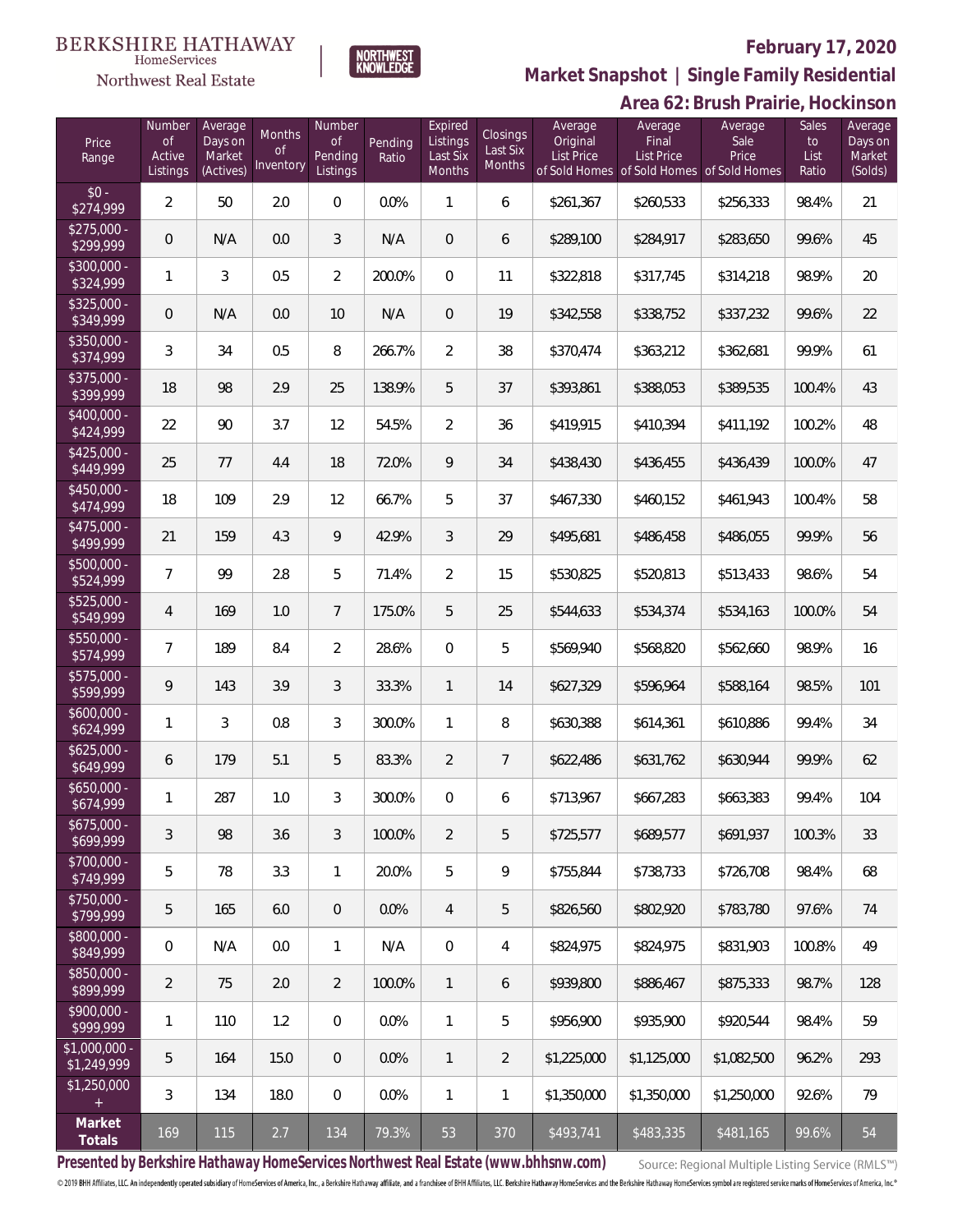# **BERKSHIRE HATHAWAY**



NORTHWEST<br>KNOWLEDGE

# **February 17, 2020**

**Market Snapshot | Single Family Residential**

|                               |                                           |                                           |                                         |                                            |                  |                                           |                                       |                                          |                                                                                    | Area 62: Brush Prairie, Hockinson |                                     |                                         |
|-------------------------------|-------------------------------------------|-------------------------------------------|-----------------------------------------|--------------------------------------------|------------------|-------------------------------------------|---------------------------------------|------------------------------------------|------------------------------------------------------------------------------------|-----------------------------------|-------------------------------------|-----------------------------------------|
| Price<br>Range                | Number<br><b>of</b><br>Active<br>Listings | Average<br>Days on<br>Market<br>(Actives) | <b>Months</b><br><b>of</b><br>Inventory | Number<br><b>of</b><br>Pending<br>Listings | Pending<br>Ratio | Expired<br>Listings<br>Last Six<br>Months | <b>Closings</b><br>Last Six<br>Months | Average<br>Original<br><b>List Price</b> | Average<br>Final<br><b>List Price</b><br>of Sold Homes of Sold Homes of Sold Homes | Average<br>Sale<br>Price          | <b>Sales</b><br>to<br>List<br>Ratio | Average<br>Days on<br>Market<br>(Solds) |
| $$0 -$<br>\$274,999           | $\overline{2}$                            | 50                                        | 2.0                                     | $\mathbf 0$                                | 0.0%             | $\mathbf{1}$                              | 6                                     | \$261,367                                | \$260,533                                                                          | \$256,333                         | 98.4%                               | 21                                      |
| $$275,000 -$<br>\$299,999     | $\theta$                                  | N/A                                       | 0.0                                     | 3                                          | N/A              | $\mathbf 0$                               | 6                                     | \$289,100                                | \$284,917                                                                          | \$283,650                         | 99.6%                               | 45                                      |
| \$300,000 -<br>\$324,999      | 1                                         | 3                                         | 0.5                                     | $\overline{2}$                             | 200.0%           | $\mathbf 0$                               | 11                                    | \$322,818                                | \$317,745                                                                          | \$314,218                         | 98.9%                               | 20                                      |
| $$325,000 -$<br>\$349,999     | $\mathbf 0$                               | N/A                                       | 0.0                                     | 10                                         | N/A              | $\mathbf 0$                               | 19                                    | \$342,558                                | \$338,752                                                                          | \$337,232                         | 99.6%                               | 22                                      |
| \$350,000 -<br>\$374,999      | 3                                         | 34                                        | 0.5                                     | 8                                          | 266.7%           | $\overline{2}$                            | 38                                    | \$370,474                                | \$363,212                                                                          | \$362,681                         | 99.9%                               | 61                                      |
| \$375,000 -<br>\$399,999      | 18                                        | 98                                        | 2.9                                     | 25                                         | 138.9%           | 5                                         | 37                                    | \$393,861                                | \$388,053                                                                          | \$389,535                         | 100.4%                              | 43                                      |
| $$400,000 -$<br>\$424,999     | 22                                        | 90                                        | 3.7                                     | 12                                         | 54.5%            | $\overline{2}$                            | 36                                    | \$419,915                                | \$410,394                                                                          | \$411,192                         | 100.2%                              | 48                                      |
| $$425,000 -$<br>\$449,999     | 25                                        | 77                                        | 4.4                                     | 18                                         | 72.0%            | 9                                         | 34                                    | \$438,430                                | \$436,455                                                                          | \$436,439                         | 100.0%                              | 47                                      |
| \$450,000 -<br>\$474,999      | 18                                        | 109                                       | 2.9                                     | 12                                         | 66.7%            | 5                                         | 37                                    | \$467,330                                | \$460,152                                                                          | \$461,943                         | 100.4%                              | 58                                      |
| \$475,000 -<br>\$499,999      | 21                                        | 159                                       | 4.3                                     | 9                                          | 42.9%            | $\mathfrak{Z}$                            | 29                                    | \$495,681                                | \$486,458                                                                          | \$486,055                         | 99.9%                               | 56                                      |
| \$500,000 -<br>\$524,999      | $\overline{7}$                            | 99                                        | 2.8                                     | 5                                          | 71.4%            | $\overline{2}$                            | 15                                    | \$530,825                                | \$520,813                                                                          | \$513,433                         | 98.6%                               | 54                                      |
| \$525,000 -<br>\$549,999      | 4                                         | 169                                       | 1.0                                     | $\overline{7}$                             | 175.0%           | 5                                         | 25                                    | \$544,633                                | \$534,374                                                                          | \$534,163                         | 100.0%                              | 54                                      |
| \$550,000 -<br>\$574,999      | $\overline{7}$                            | 189                                       | 8.4                                     | $\overline{2}$                             | 28.6%            | $\mathbf 0$                               | 5                                     | \$569,940                                | \$568,820                                                                          | \$562,660                         | 98.9%                               | 16                                      |
| \$575,000 -<br>\$599,999      | 9                                         | 143                                       | 3.9                                     | $\mathfrak{Z}$                             | 33.3%            | $\mathbf{1}$                              | 14                                    | \$627,329                                | \$596,964                                                                          | \$588,164                         | 98.5%                               | 101                                     |
| \$600,000 -<br>\$624,999      | 1                                         | $\mathfrak{Z}$                            | 0.8                                     | 3                                          | 300.0%           | $\mathbf{1}$                              | 8                                     | \$630,388                                | \$614,361                                                                          | \$610,886                         | 99.4%                               | 34                                      |
| $$625,000 -$<br>\$649,999     | 6                                         | 179                                       | 5.1                                     | 5                                          | 83.3%            | $\overline{2}$                            | $\overline{7}$                        | \$622,486                                | \$631,762                                                                          | \$630,944                         | 99.9%                               | 62                                      |
| \$650,000<br>\$674,999        | 1                                         | 287                                       | 1.0                                     | 3                                          | 300.0%           | $\overline{0}$                            | 6                                     | \$713,967                                | \$667,283                                                                          | \$663,383                         | 99.4%                               | 104                                     |
| $$675,000 -$<br>\$699,999     | 3                                         | 98                                        | 3.6                                     | 3                                          | 100.0%           | $\overline{2}$                            | 5                                     | \$725,577                                | \$689,577                                                                          | \$691,937                         | 100.3%                              | 33                                      |
| \$700,000 -<br>\$749,999      | 5                                         | 78                                        | 3.3                                     | $\mathbf{1}$                               | 20.0%            | 5                                         | 9                                     | \$755,844                                | \$738,733                                                                          | \$726,708                         | 98.4%                               | 68                                      |
| \$750,000 -<br>\$799,999      | 5                                         | 165                                       | 6.0                                     | $\mathbf 0$                                | 0.0%             | $\overline{4}$                            | 5                                     | \$826,560                                | \$802,920                                                                          | \$783,780                         | 97.6%                               | 74                                      |
| \$800,000 -<br>\$849,999      | 0                                         | N/A                                       | 0.0                                     | $\mathbf{1}$                               | N/A              | $\mathbf 0$                               | 4                                     | \$824,975                                | \$824,975                                                                          | \$831,903                         | 100.8%                              | 49                                      |
| \$850,000 -<br>\$899,999      | $\overline{2}$                            | 75                                        | 2.0                                     | $\overline{2}$                             | 100.0%           | $\mathbf{1}$                              | 6                                     | \$939,800                                | \$886,467                                                                          | \$875,333                         | 98.7%                               | 128                                     |
| \$900,000 -<br>\$999,999      | 1                                         | 110                                       | 1.2                                     | $\mathbf 0$                                | 0.0%             | $\mathbf{1}$                              | 5                                     | \$956,900                                | \$935,900                                                                          | \$920,544                         | 98.4%                               | 59                                      |
| $$1,000,000 -$<br>\$1,249,999 | 5                                         | 164                                       | 15.0                                    | $\overline{0}$                             | 0.0%             | $\mathbf{1}$                              | $\overline{2}$                        | \$1,225,000                              | \$1,125,000                                                                        | \$1,082,500                       | 96.2%                               | 293                                     |
| \$1,250,000<br>$+$            | 3                                         | 134                                       | 18.0                                    | $\overline{0}$                             | 0.0%             | $\mathbf{1}$                              | $\mathbf{1}$                          | \$1,350,000                              | \$1,350,000                                                                        | \$1,250,000                       | 92.6%                               | 79                                      |
| Market<br>Totals              | 169                                       | 115                                       | 2.7                                     | 134                                        | 79.3%            | 53                                        | 370                                   | \$493,741                                | \$483,335                                                                          | \$481,165                         | 99.6%                               | 54                                      |

**Presented by Berkshire Hathaway HomeServices Northwest Real Estate (www.bhhsnw.com)**

Source: Regional Multiple Listing Service (RMLS™)